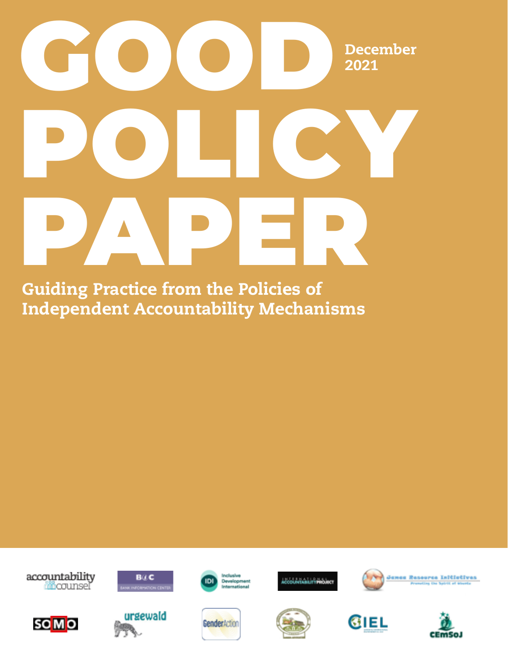# GOOD<sup>De</sup> POLICY PAPER December 2021

Guiding Practice from the Policies of Independent Accountability Mechanisms

accountability





**BILC** 



Inclusive<br>Developm<br>Internatio



*.*<br>Ačcolumatininkoject





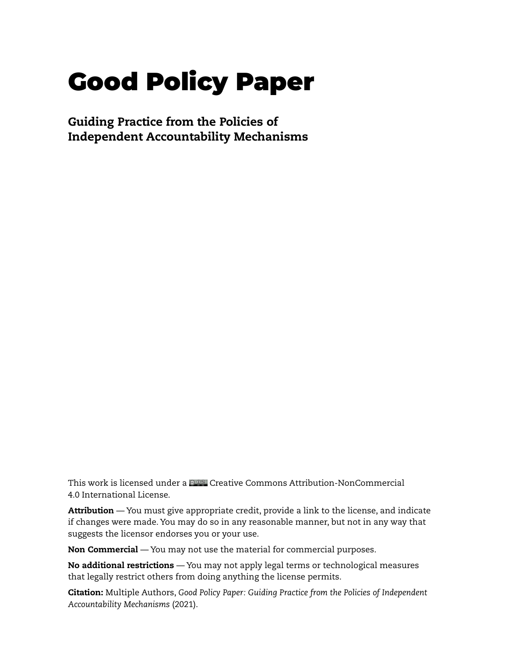# Good Policy Paper

Guiding Practice from the Policies of Independent Accountability Mechanisms

This work is licensed under a Creative Commons Attribution-NonCommercial 4.0 International License.

Attribution — You must give appropriate credit, provide a link to the license, and indicate if changes were made. You may do so in any reasonable manner, but not in any way that suggests the licensor endorses you or your use.

Non Commercial — You may not use the material for commercial purposes.

No additional restrictions — You may not apply legal terms or technological measures that legally restrict others from doing anything the license permits.

Citation: Multiple Authors, *Good Policy Paper: Guiding Practice from the Policies of Independent Accountability Mechanisms* (2021).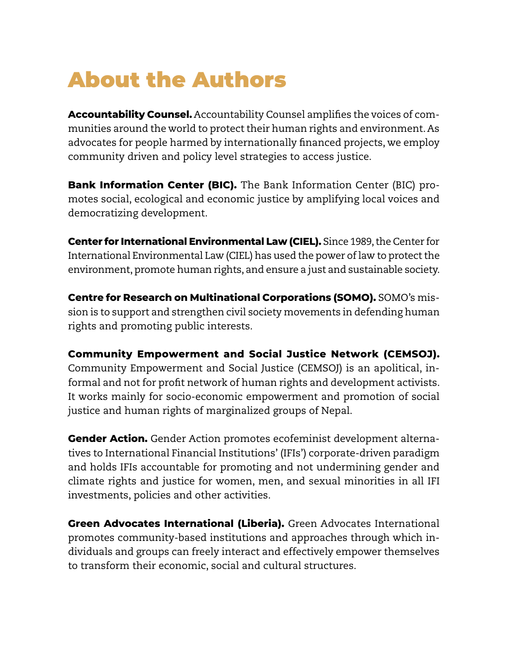# <span id="page-2-0"></span>About the Authors

**Accountability Counsel.** Accountability Counsel amplifies the voices of communities around the world to protect their human rights and environment. As advocates for people harmed by internationally financed projects, we employ community driven and policy level strategies to access justice.

**Bank Information Center (BIC).** The Bank Information Center (BIC) promotes social, ecological and economic justice by amplifying local voices and democratizing development.

**Center for International Environmental Law (CIEL).** Since 1989, the Center for International Environmental Law (CIEL) has used the power of law to protect the environment, promote human rights, and ensure a just and sustainable society.

**Centre for Research on Multinational Corporations (SOMO).** SOMO's mission is to support and strengthen civil society movements in defending human rights and promoting public interests.

**Community Empowerment and Social Justice Network (CEMSOJ).** Community Empowerment and Social Justice (CEMSOJ) is an apolitical, informal and not for profit network of human rights and development activists. It works mainly for socio-economic empowerment and promotion of social justice and human rights of marginalized groups of Nepal.

**Gender Action.** Gender Action promotes ecofeminist development alternatives to International Financial Institutions' (IFIs') corporate-driven paradigm and holds IFIs accountable for promoting and not undermining gender and climate rights and justice for women, men, and sexual minorities in all IFI investments, policies and other activities.

**Green Advocates International (Liberia).** Green Advocates International promotes community-based institutions and approaches through which individuals and groups can freely interact and effectively empower themselves to transform their economic, social and cultural structures.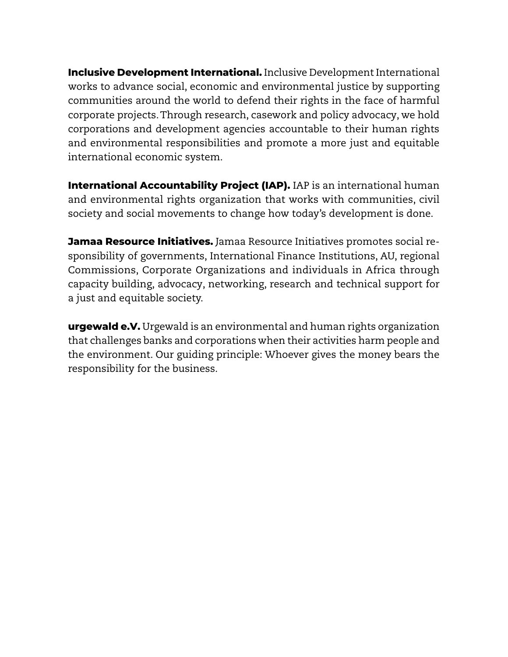**Inclusive Development International.** Inclusive Development International works to advance social, economic and environmental justice by supporting communities around the world to defend their rights in the face of harmful corporate projects. Through research, casework and policy advocacy, we hold corporations and development agencies accountable to their human rights and environmental responsibilities and promote a more just and equitable international economic system.

**International Accountability Project (IAP).** IAP is an international human and environmental rights organization that works with communities, civil society and social movements to change how today's development is done.

**Jamaa Resource Initiatives.** Jamaa Resource Initiatives promotes social responsibility of governments, International Finance Institutions, AU, regional Commissions, Corporate Organizations and individuals in Africa through capacity building, advocacy, networking, research and technical support for a just and equitable society.

**urgewald e.V.** Urgewald is an environmental and human rights organization that challenges banks and corporations when their activities harm people and the environment. Our guiding principle: Whoever gives the money bears the responsibility for the business.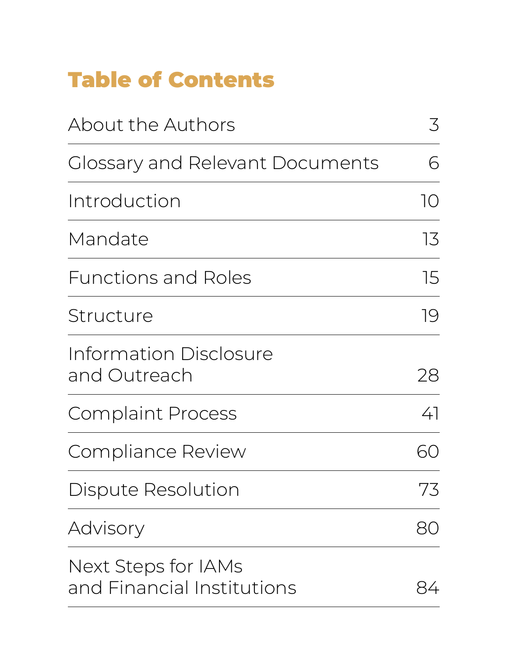# <span id="page-4-0"></span>Table of Contents

| <b>About the Authors</b>                                 | $\mathcal{Z}$ |
|----------------------------------------------------------|---------------|
| <b>Glossary and Relevant Documents</b>                   | 6             |
| Introduction                                             | 10            |
| Mandate                                                  | 13            |
| <b>Functions and Roles</b>                               | 15            |
| Structure                                                | 19            |
| Information Disclosure<br>and Outreach                   | 28            |
| <b>Complaint Process</b>                                 | 41            |
| <b>Compliance Review</b>                                 |               |
| <b>Dispute Resolution</b>                                | 73            |
| Advisory                                                 | 80            |
| <b>Next Steps for IAMs</b><br>and Financial Institutions |               |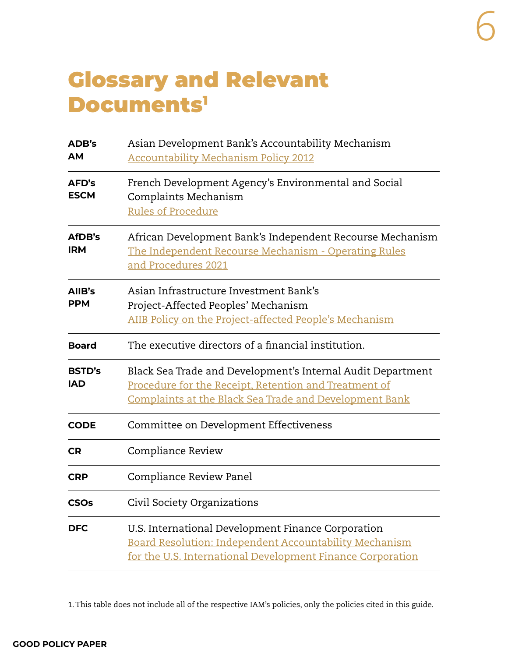### <span id="page-5-0"></span>Glossary and Relevant Documents1

| ADB's<br><b>AM</b>          | Asian Development Bank's Accountability Mechanism<br><b>Accountability Mechanism Policy 2012</b>                                                                               |
|-----------------------------|--------------------------------------------------------------------------------------------------------------------------------------------------------------------------------|
| AFD's<br><b>ESCM</b>        | French Development Agency's Environmental and Social<br>Complaints Mechanism<br><b>Rules of Procedure</b>                                                                      |
| AfDB's<br><b>IRM</b>        | African Development Bank's Independent Recourse Mechanism<br>The Independent Recourse Mechanism - Operating Rules<br>and Procedures 2021                                       |
| AllB's<br><b>PPM</b>        | Asian Infrastructure Investment Bank's<br>Project-Affected Peoples' Mechanism<br>AIIB Policy on the Project-affected People's Mechanism                                        |
| <b>Board</b>                | The executive directors of a financial institution.                                                                                                                            |
| <b>BSTD's</b><br><b>IAD</b> | Black Sea Trade and Development's Internal Audit Department<br>Procedure for the Receipt, Retention and Treatment of<br>Complaints at the Black Sea Trade and Development Bank |
| <b>CODE</b>                 | Committee on Development Effectiveness                                                                                                                                         |
| <b>CR</b>                   | Compliance Review                                                                                                                                                              |
| <b>CRP</b>                  | Compliance Review Panel                                                                                                                                                        |
| <b>CSOs</b>                 | Civil Society Organizations                                                                                                                                                    |
| <b>DFC</b>                  | U.S. International Development Finance Corporation<br>Board Resolution: Independent Accountability Mechanism<br>for the U.S. International Development Finance Corporation     |

1. This table does not include all of the respective IAM's policies, only the policies cited in this guide.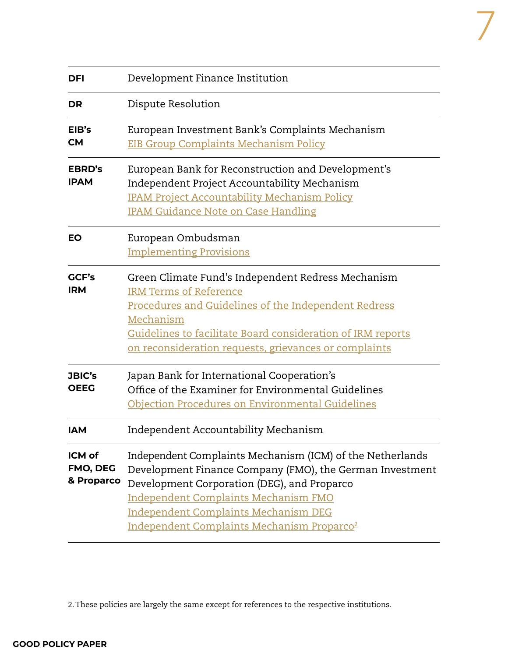| sm |  |  |  |
|----|--|--|--|

7

| <b>DFI</b>                       | Development Finance Institution                                                                                                                                                                                                                                                                                              |
|----------------------------------|------------------------------------------------------------------------------------------------------------------------------------------------------------------------------------------------------------------------------------------------------------------------------------------------------------------------------|
| <b>DR</b>                        | Dispute Resolution                                                                                                                                                                                                                                                                                                           |
| EIB's<br><b>CM</b>               | European Investment Bank's Complaints Mechanism<br><b>EIB Group Complaints Mechanism Policy</b>                                                                                                                                                                                                                              |
| <b>EBRD's</b><br><b>IPAM</b>     | European Bank for Reconstruction and Development's<br>Independent Project Accountability Mechanism<br><b>IPAM Project Accountability Mechanism Policy</b><br><b>IPAM Guidance Note on Case Handling</b>                                                                                                                      |
| EO                               | European Ombudsman<br><b>Implementing Provisions</b>                                                                                                                                                                                                                                                                         |
| GCF's<br><b>IRM</b>              | Green Climate Fund's Independent Redress Mechanism<br><b>IRM Terms of Reference</b><br>Procedures and Guidelines of the Independent Redress<br>Mechanism<br>Guidelines to facilitate Board consideration of IRM reports<br>on reconsideration requests, grievances or complaints                                             |
| <b>JBIC's</b><br><b>OEEG</b>     | Japan Bank for International Cooperation's<br>Office of the Examiner for Environmental Guidelines<br>Objection Procedures on Environmental Guidelines                                                                                                                                                                        |
| <b>IAM</b>                       | Independent Accountability Mechanism                                                                                                                                                                                                                                                                                         |
| ICM of<br>FMO, DEG<br>& Proparco | Independent Complaints Mechanism (ICM) of the Netherlands<br>Development Finance Company (FMO), the German Investment<br>Development Corporation (DEG), and Proparco<br><b>Independent Complaints Mechanism FMO</b><br><b>Independent Complaints Mechanism DEG</b><br>Independent Complaints Mechanism Proparco <sup>2</sup> |

2. These policies are largely the same except for references to the respective institutions.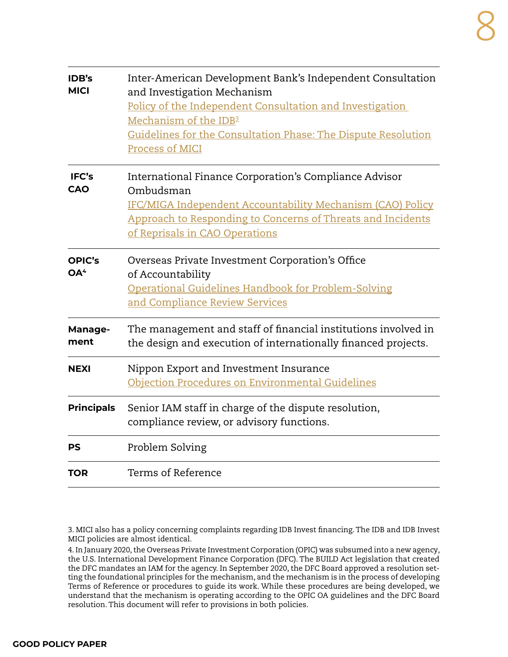| <b>IDB's</b><br><b>MICI</b> | Inter-American Development Bank's Independent Consultation<br>and Investigation Mechanism<br>Policy of the Independent Consultation and Investigation<br>Mechanism of the IDB <sup>3</sup><br>Guidelines for the Consultation Phase: The Dispute Resolution<br>Process of MICI |
|-----------------------------|--------------------------------------------------------------------------------------------------------------------------------------------------------------------------------------------------------------------------------------------------------------------------------|
| IFC's<br>CAO                | International Finance Corporation's Compliance Advisor<br>Ombudsman<br>IFC/MIGA Independent Accountability Mechanism (CAO) Policy<br>Approach to Responding to Concerns of Threats and Incidents<br>of Reprisals in CAO Operations                                             |
| OPIC's<br>OA <sup>4</sup>   | Overseas Private Investment Corporation's Office<br>of Accountability<br>Operational Guidelines Handbook for Problem-Solving<br>and Compliance Review Services                                                                                                                 |
| Manage-<br>ment             | The management and staff of financial institutions involved in<br>the design and execution of internationally financed projects.                                                                                                                                               |
| <b>NEXI</b>                 | Nippon Export and Investment Insurance<br>Objection Procedures on Environmental Guidelines                                                                                                                                                                                     |
| <b>Principals</b>           | Senior IAM staff in charge of the dispute resolution,<br>compliance review, or advisory functions.                                                                                                                                                                             |
| PS                          | Problem Solving                                                                                                                                                                                                                                                                |
| TOR                         | Terms of Reference                                                                                                                                                                                                                                                             |

3. MICI also has a policy concerning complaints regarding IDB Invest financing. The IDB and IDB Invest MICI policies are almost identical.

4. In January 2020, the Overseas Private Investment Corporation (OPIC) was subsumed into a new agency, the U.S. International Development Finance Corporation (DFC). The BUILD Act legislation that created the DFC mandates an IAM for the agency. In September 2020, the DFC Board approved a resolution setting the foundational principles for the mechanism, and the mechanism is in the process of developing Terms of Reference or procedures to guide its work. While these procedures are being developed, we understand that the mechanism is operating according to the OPIC OA guidelines and the DFC Board resolution. This document will refer to provisions in both policies.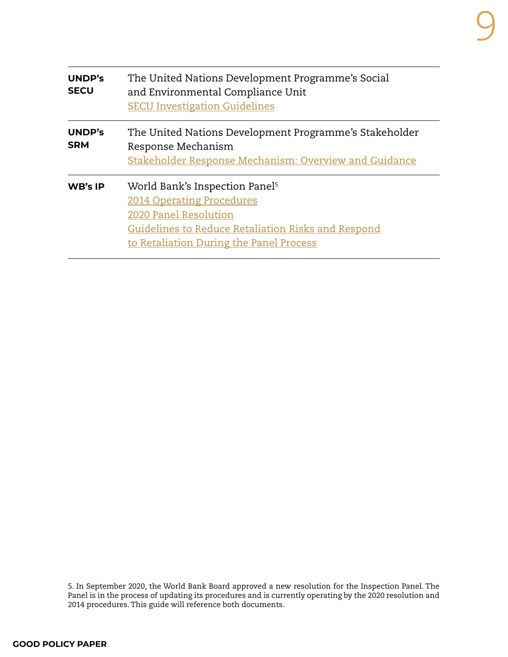| UNDP's<br><b>SECU</b>       | The United Nations Development Programme's Social<br>and Environmental Compliance Unit<br><b>SECU Investigation Guidelines</b>                                                                    |
|-----------------------------|---------------------------------------------------------------------------------------------------------------------------------------------------------------------------------------------------|
| <b>UNDP's</b><br><b>SRM</b> | The United Nations Development Programme's Stakeholder<br>Response Mechanism<br>Stakeholder Response Mechanism: Overview and Guidance                                                             |
| <b>WB's IP</b>              | World Bank's Inspection Panel <sup>5</sup><br>2014 Operating Procedures<br>2020 Panel Resolution<br>Guidelines to Reduce Retaliation Risks and Respond<br>to Retaliation During the Panel Process |

5. In September 2020, the World Bank Board approved a new resolution for the Inspection Panel. The Panel is in the process of updating its procedures and is currently operating by the 2020 resolution and 2014 procedures. This guide will reference both documents.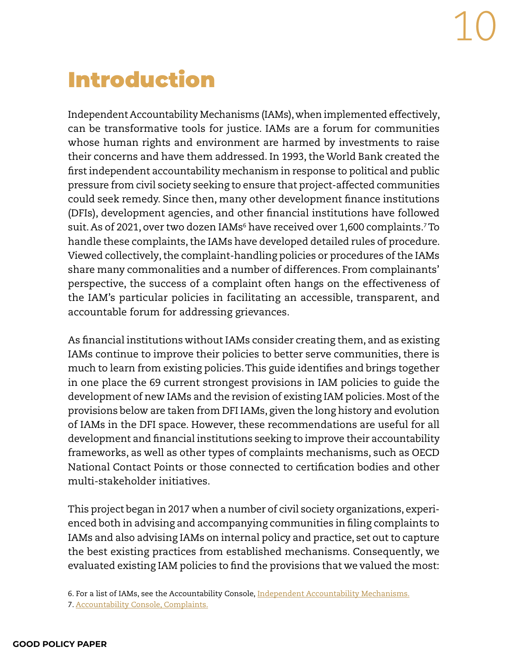# <span id="page-9-0"></span>Introduction

Independent Accountability Mechanisms (IAMs), when implemented effectively, can be transformative tools for justice. IAMs are a forum for communities whose human rights and environment are harmed by investments to raise their concerns and have them addressed. In 1993, the World Bank created the first independent accountability mechanism in response to political and public pressure from civil society seeking to ensure that project-affected communities could seek remedy. Since then, many other development finance institutions (DFIs), development agencies, and other financial institutions have followed suit. As of 2021, over two dozen IAMs $^{\rm 6}$  have received over 1,600 complaints. $^{\rm 7}$ To handle these complaints, the IAMs have developed detailed rules of procedure. Viewed collectively, the complaint-handling policies or procedures of the IAMs share many commonalities and a number of differences. From complainants' perspective, the success of a complaint often hangs on the effectiveness of the IAM's particular policies in facilitating an accessible, transparent, and accountable forum for addressing grievances.

As financial institutions without IAMs consider creating them, and as existing IAMs continue to improve their policies to better serve communities, there is much to learn from existing policies. This guide identifies and brings together in one place the 69 current strongest provisions in IAM policies to guide the development of new IAMs and the revision of existing IAM policies. Most of the provisions below are taken from DFI IAMs, given the long history and evolution of IAMs in the DFI space. However, these recommendations are useful for all development and financial institutions seeking to improve their accountability frameworks, as well as other types of complaints mechanisms, such as OECD National Contact Points or those connected to certification bodies and other multi-stakeholder initiatives.

This project began in 2017 when a number of civil society organizations, experienced both in advising and accompanying communities in filing complaints to IAMs and also advising IAMs on internal policy and practice, set out to capture the best existing practices from established mechanisms. Consequently, we evaluated existing IAM policies to find the provisions that we valued the most:

6. For a list of IAMs, see the Accountability Console, [Independent Accountability Mechanisms.](https://www.accountabilityconsole.com/iams/) 7. [Accountability Console, Complaints.](https://accountabilityconsole.com/complaints/)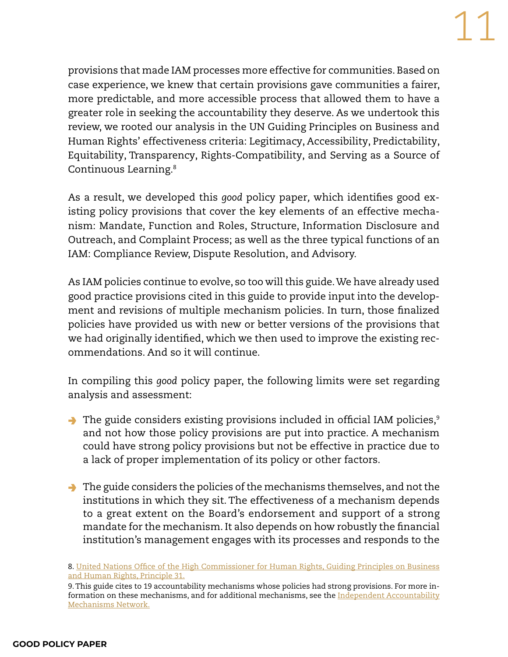provisions that made IAM processes more effective for communities. Based on case experience, we knew that certain provisions gave communities a fairer, more predictable, and more accessible process that allowed them to have a greater role in seeking the accountability they deserve. As we undertook this review, we rooted our analysis in the UN Guiding Principles on Business and Human Rights' effectiveness criteria: Legitimacy, Accessibility, Predictability, Equitability, Transparency, Rights-Compatibility, and Serving as a Source of Continuous Learning.8

As a result, we developed this *good* policy paper*,* which identifies good existing policy provisions that cover the key elements of an effective mechanism: Mandate, Function and Roles, Structure, Information Disclosure and Outreach, and Complaint Process; as well as the three typical functions of an IAM: Compliance Review, Dispute Resolution, and Advisory.

As IAM policies continue to evolve, so too will this guide. We have already used good practice provisions cited in this guide to provide input into the development and revisions of multiple mechanism policies. In turn, those finalized policies have provided us with new or better versions of the provisions that we had originally identified, which we then used to improve the existing recommendations. And so it will continue.

In compiling this *good* policy paper, the following limits were set regarding analysis and assessment:

- $\rightarrow$  The guide considers existing provisions included in official IAM policies, $\frac{9}{2}$ and not how those policy provisions are put into practice. A mechanism could have strong policy provisions but not be effective in practice due to a lack of proper implementation of its policy or other factors.
- $\rightarrow$  The guide considers the policies of the mechanisms themselves, and not the institutions in which they sit. The effectiveness of a mechanism depends to a great extent on the Board's endorsement and support of a strong mandate for the mechanism. It also depends on how robustly the financial institution's management engages with its processes and responds to the

<sup>8.</sup> [United Nations Office of the High Commissioner for Human Rights, Guiding Principles on Business](https://www.ohchr.org/documents/publications/guidingprinciplesbusinesshr_en.pdf)  [and Human Rights, Principle 31](https://www.ohchr.org/documents/publications/guidingprinciplesbusinesshr_en.pdf).

<sup>9.</sup> This guide cites to 19 accountability mechanisms whose policies had strong provisions. For more in-formation on these mechanisms, and for additional mechanisms, see the [Independent Accountability](http://independentaccountabilitymechanism.net/) [Mechanisms Network](http://independentaccountabilitymechanism.net/).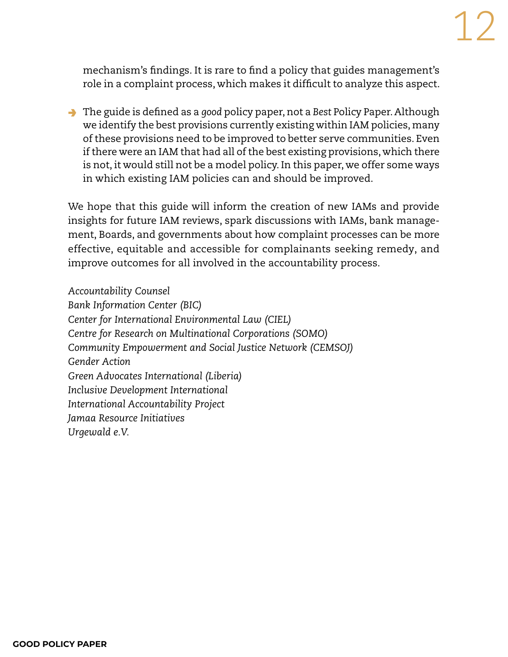mechanism's findings. It is rare to find a policy that guides management's role in a complaint process, which makes it difficult to analyze this aspect.

→ The guide is defined as a *good* policy paper, not a *Best* Policy Paper. Although we identify the best provisions currently existing within IAM policies, many of these provisions need to be improved to better serve communities. Even if there were an IAM that had all of the best existing provisions, which there is not, it would still not be a model policy. In this paper, we offer some ways in which existing IAM policies can and should be improved.

We hope that this guide will inform the creation of new IAMs and provide insights for future IAM reviews, spark discussions with IAMs, bank management, Boards, and governments about how complaint processes can be more effective, equitable and accessible for complainants seeking remedy, and improve outcomes for all involved in the accountability process.

*Accountability Counsel Bank Information Center (BIC) Center for International Environmental Law (CIEL) Centre for Research on Multinational Corporations (SOMO) Community Empowerment and Social Justice Network (CEMSOJ) Gender Action Green Advocates International (Liberia) Inclusive Development International International Accountability Project Jamaa Resource Initiatives Urgewald e.V.*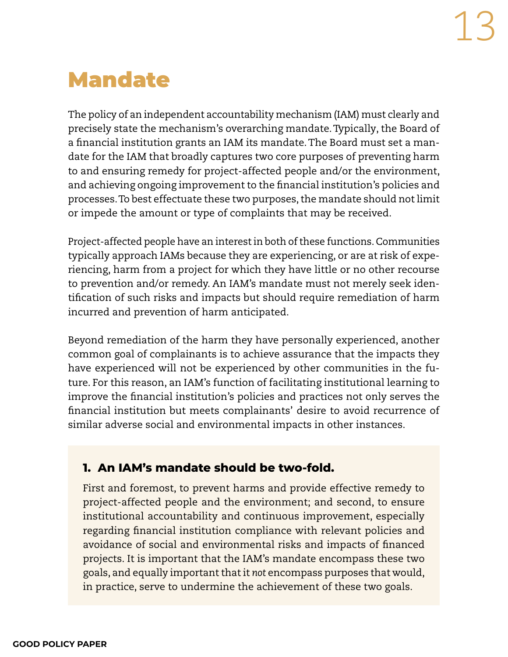# <span id="page-12-0"></span>Mandate

The policy of an independent accountability mechanism (IAM) must clearly and precisely state the mechanism's overarching mandate. Typically, the Board of a financial institution grants an IAM its mandate. The Board must set a mandate for the IAM that broadly captures two core purposes of preventing harm to and ensuring remedy for project-affected people and/or the environment, and achieving ongoing improvement to the financial institution's policies and processes. To best effectuate these two purposes, the mandate should not limit or impede the amount or type of complaints that may be received.

Project-affected people have an interest in both of these functions. Communities typically approach IAMs because they are experiencing, or are at risk of experiencing, harm from a project for which they have little or no other recourse to prevention and/or remedy. An IAM's mandate must not merely seek identification of such risks and impacts but should require remediation of harm incurred and prevention of harm anticipated.

Beyond remediation of the harm they have personally experienced, another common goal of complainants is to achieve assurance that the impacts they have experienced will not be experienced by other communities in the future. For this reason, an IAM's function of facilitating institutional learning to improve the financial institution's policies and practices not only serves the financial institution but meets complainants' desire to avoid recurrence of similar adverse social and environmental impacts in other instances.

#### **1. An IAM's mandate should be two-fold.**

First and foremost, to prevent harms and provide effective remedy to project-affected people and the environment; and second, to ensure institutional accountability and continuous improvement, especially regarding financial institution compliance with relevant policies and avoidance of social and environmental risks and impacts of financed projects. It is important that the IAM's mandate encompass these two goals, and equally important that it *not* encompass purposes that would, in practice, serve to undermine the achievement of these two goals.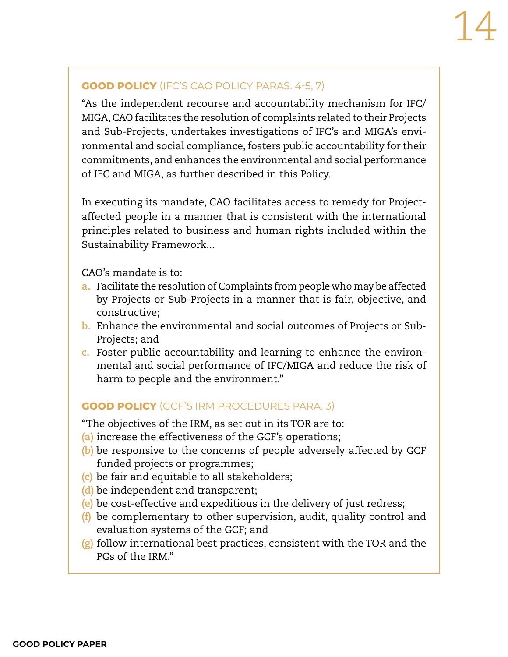#### **GOOD POLICY** (IFC'S CAO POLICY PARAS. 4-5, 7)

"As the independent recourse and accountability mechanism for IFC/ MIGA, CAO facilitates the resolution of complaints related to their Projects and Sub-Projects, undertakes investigations of IFC's and MIGA's environmental and social compliance, fosters public accountability for their commitments, and enhances the environmental and social performance of IFC and MIGA, as further described in this Policy.

In executing its mandate, CAO facilitates access to remedy for Projectaffected people in a manner that is consistent with the international principles related to business and human rights included within the Sustainability Framework...

CAO's mandate is to:

- **a.** Facilitate the resolution of Complaints from people who may be affected by Projects or Sub-Projects in a manner that is fair, objective, and constructive;
- **b.** Enhance the environmental and social outcomes of Projects or Sub-Projects; and
- **c.** Foster public accountability and learning to enhance the environmental and social performance of IFC/MIGA and reduce the risk of harm to people and the environment."

#### **GOOD POLICY** (GCF'S IRM PROCEDURES PARA. 3)

"The objectives of the IRM, as set out in its TOR are to:

- **(a)** increase the effectiveness of the GCF's operations;
- **(b)** be responsive to the concerns of people adversely affected by GCF funded projects or programmes;
- **(c)** be fair and equitable to all stakeholders;
- **(d)** be independent and transparent;
- **(e)** be cost-effective and expeditious in the delivery of just redress;
- **(f)** be complementary to other supervision, audit, quality control and evaluation systems of the GCF; and
- **(g)** follow international best practices, consistent with the TOR and the PGs of the IRM."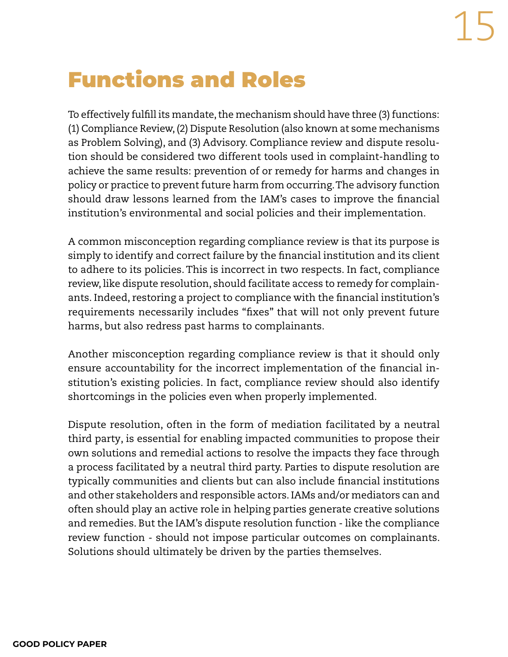# <span id="page-14-0"></span>Functions and Roles

To effectively fulfill its mandate, the mechanism should have three (3) functions: (1) Compliance Review, (2) Dispute Resolution (also known at some mechanisms as Problem Solving), and (3) Advisory. Compliance review and dispute resolution should be considered two different tools used in complaint-handling to achieve the same results: prevention of or remedy for harms and changes in policy or practice to prevent future harm from occurring. The advisory function should draw lessons learned from the IAM's cases to improve the financial institution's environmental and social policies and their implementation.

A common misconception regarding compliance review is that its purpose is simply to identify and correct failure by the financial institution and its client to adhere to its policies. This is incorrect in two respects. In fact, compliance review, like dispute resolution, should facilitate access to remedy for complainants. Indeed, restoring a project to compliance with the financial institution's requirements necessarily includes "fixes" that will not only prevent future harms, but also redress past harms to complainants.

Another misconception regarding compliance review is that it should only ensure accountability for the incorrect implementation of the financial institution's existing policies. In fact, compliance review should also identify shortcomings in the policies even when properly implemented.

Dispute resolution, often in the form of mediation facilitated by a neutral third party, is essential for enabling impacted communities to propose their own solutions and remedial actions to resolve the impacts they face through a process facilitated by a neutral third party. Parties to dispute resolution are typically communities and clients but can also include financial institutions and other stakeholders and responsible actors. IAMs and/or mediators can and often should play an active role in helping parties generate creative solutions and remedies. But the IAM's dispute resolution function - like the compliance review function - should not impose particular outcomes on complainants. Solutions should ultimately be driven by the parties themselves.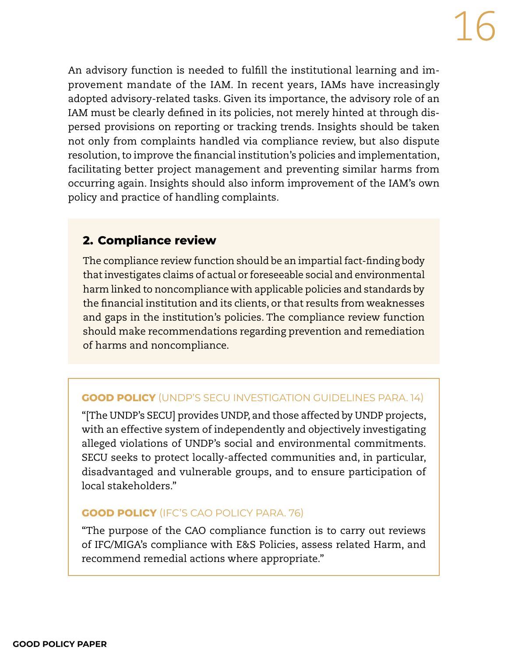An advisory function is needed to fulfill the institutional learning and improvement mandate of the IAM. In recent years, IAMs have increasingly adopted advisory-related tasks. Given its importance, the advisory role of an IAM must be clearly defined in its policies, not merely hinted at through dispersed provisions on reporting or tracking trends. Insights should be taken not only from complaints handled via compliance review, but also dispute resolution, to improve the financial institution's policies and implementation, facilitating better project management and preventing similar harms from occurring again. Insights should also inform improvement of the IAM's own policy and practice of handling complaints.

#### **2. Compliance review**

The compliance review function should be an impartial fact-finding body that investigates claims of actual or foreseeable social and environmental harm linked to noncompliance with applicable policies and standards by the financial institution and its clients, or that results from weaknesses and gaps in the institution's policies. The compliance review function should make recommendations regarding prevention and remediation of harms and noncompliance.

#### **GOOD POLICY** (UNDP'S SECU INVESTIGATION GUIDELINES PARA. 14)

"[The UNDP's SECU] provides UNDP, and those affected by UNDP projects, with an effective system of independently and objectively investigating alleged violations of UNDP's social and environmental commitments. SECU seeks to protect locally-affected communities and, in particular, disadvantaged and vulnerable groups, and to ensure participation of local stakeholders."

#### **GOOD POLICY** (IFC'S CAO POLICY PARA. 76)

"The purpose of the CAO compliance function is to carry out reviews of IFC/MIGA's compliance with E&S Policies, assess related Harm, and recommend remedial actions where appropriate."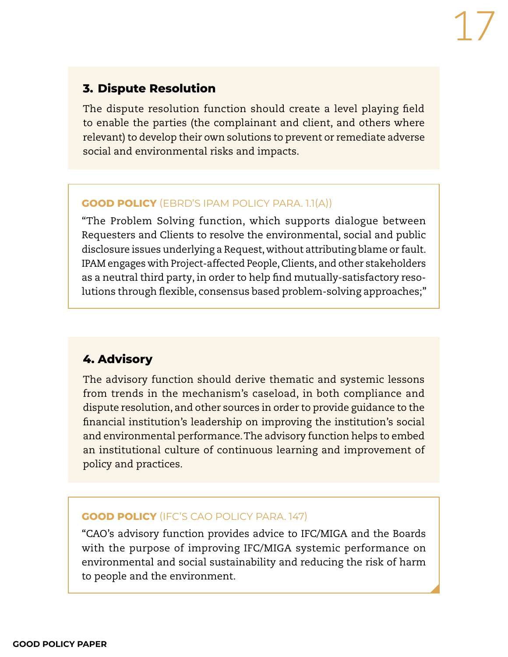#### **3. Dispute Resolution**

The dispute resolution function should create a level playing field to enable the parties (the complainant and client, and others where relevant) to develop their own solutions to prevent or remediate adverse social and environmental risks and impacts.

#### **GOOD POLICY** (EBRD'S IPAM POLICY PARA. 1.1(A))

"The Problem Solving function, which supports dialogue between Requesters and Clients to resolve the environmental, social and public disclosure issues underlying a Request, without attributing blame or fault. IPAM engages with Project-affected People, Clients, and other stakeholders as a neutral third party, in order to help find mutually-satisfactory resolutions through flexible, consensus based problem-solving approaches;"

#### **4. Advisory**

The advisory function should derive thematic and systemic lessons from trends in the mechanism's caseload, in both compliance and dispute resolution, and other sources in order to provide guidance to the financial institution's leadership on improving the institution's social and environmental performance. The advisory function helps to embed an institutional culture of continuous learning and improvement of policy and practices.

#### **GOOD POLICY** (IFC'S CAO POLICY PARA. 147)

"CAO's advisory function provides advice to IFC/MIGA and the Boards with the purpose of improving IFC/MIGA systemic performance on environmental and social sustainability and reducing the risk of harm to people and the environment.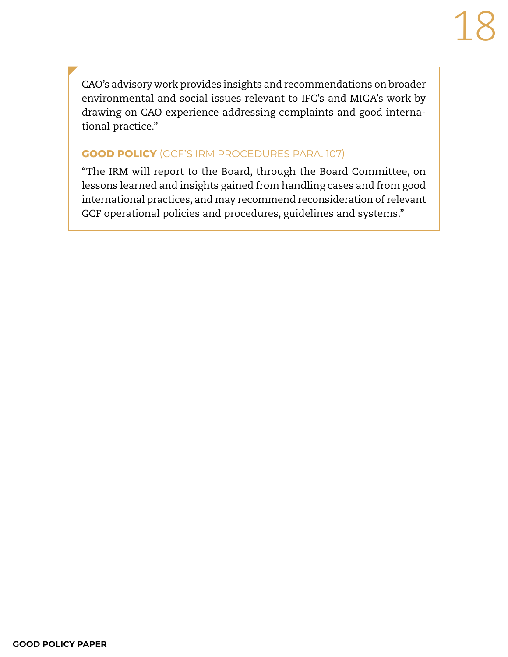CAO's advisory work provides insights and recommendations on broader environmental and social issues relevant to IFC's and MIGA's work by drawing on CAO experience addressing complaints and good international practice."

#### **GOOD POLICY** (GCF'S IRM PROCEDURES PARA. 107)

"The IRM will report to the Board, through the Board Committee, on lessons learned and insights gained from handling cases and from good international practices, and may recommend reconsideration of relevant GCF operational policies and procedures, guidelines and systems."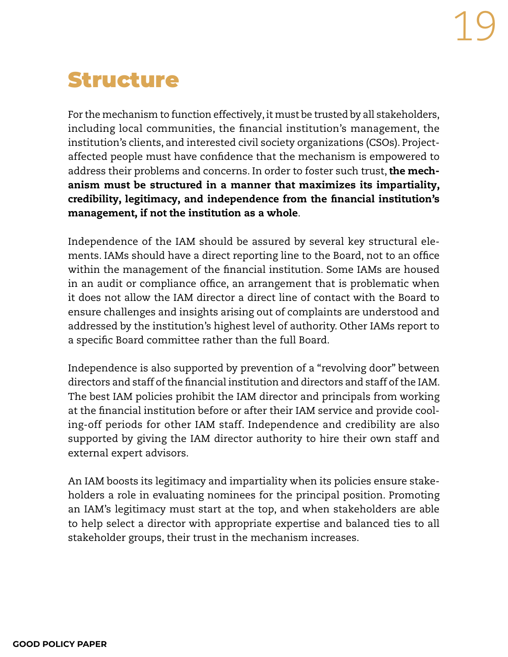## <span id="page-18-0"></span>Structure

For the mechanism to function effectively, it must be trusted by all stakeholders, including local communities, the financial institution's management, the institution's clients, and interested civil society organizations (CSOs). Projectaffected people must have confidence that the mechanism is empowered to address their problems and concerns. In order to foster such trust, the mechanism must be structured in a manner that maximizes its impartiality, credibility, legitimacy, and independence from the financial institution's management, if not the institution as a whole.

Independence of the IAM should be assured by several key structural elements. IAMs should have a direct reporting line to the Board, not to an office within the management of the financial institution. Some IAMs are housed in an audit or compliance office, an arrangement that is problematic when it does not allow the IAM director a direct line of contact with the Board to ensure challenges and insights arising out of complaints are understood and addressed by the institution's highest level of authority. Other IAMs report to a specific Board committee rather than the full Board.

Independence is also supported by prevention of a "revolving door" between directors and staff of the financial institution and directors and staff of the IAM. The best IAM policies prohibit the IAM director and principals from working at the financial institution before or after their IAM service and provide cooling-off periods for other IAM staff. Independence and credibility are also supported by giving the IAM director authority to hire their own staff and external expert advisors.

An IAM boosts its legitimacy and impartiality when its policies ensure stakeholders a role in evaluating nominees for the principal position. Promoting an IAM's legitimacy must start at the top, and when stakeholders are able to help select a director with appropriate expertise and balanced ties to all stakeholder groups, their trust in the mechanism increases.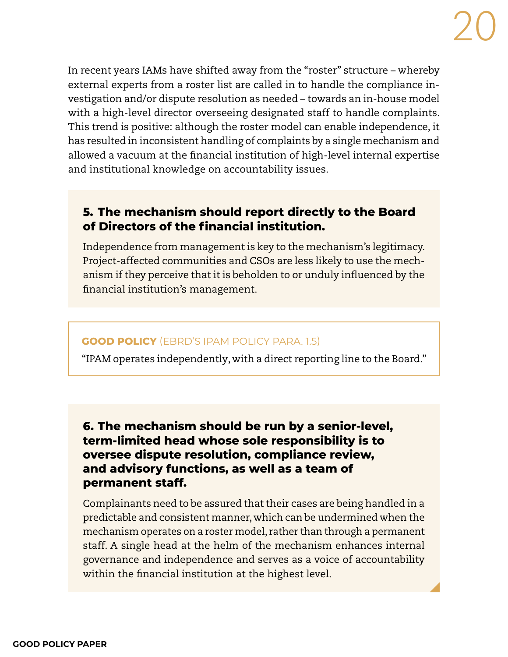In recent years IAMs have shifted away from the "roster" structure – whereby external experts from a roster list are called in to handle the compliance investigation and/or dispute resolution as needed – towards an in-house model with a high-level director overseeing designated staff to handle complaints. This trend is positive: although the roster model can enable independence, it has resulted in inconsistent handling of complaints by a single mechanism and allowed a vacuum at the financial institution of high-level internal expertise and institutional knowledge on accountability issues.

#### **5. The mechanism should report directly to the Board of Directors of the financial institution.**

Independence from management is key to the mechanism's legitimacy. Project-affected communities and CSOs are less likely to use the mechanism if they perceive that it is beholden to or unduly influenced by the financial institution's management.

#### **GOOD POLICY** (EBRD'S IPAM POLICY PARA. 1.5)

"IPAM operates independently, with a direct reporting line to the Board."

#### **6. The mechanism should be run by a senior-level, term-limited head whose sole responsibility is to oversee dispute resolution, compliance review, and advisory functions, as well as a team of permanent staff.**

Complainants need to be assured that their cases are being handled in a predictable and consistent manner, which can be undermined when the mechanism operates on a roster model, rather than through a permanent staff. A single head at the helm of the mechanism enhances internal governance and independence and serves as a voice of accountability within the financial institution at the highest level.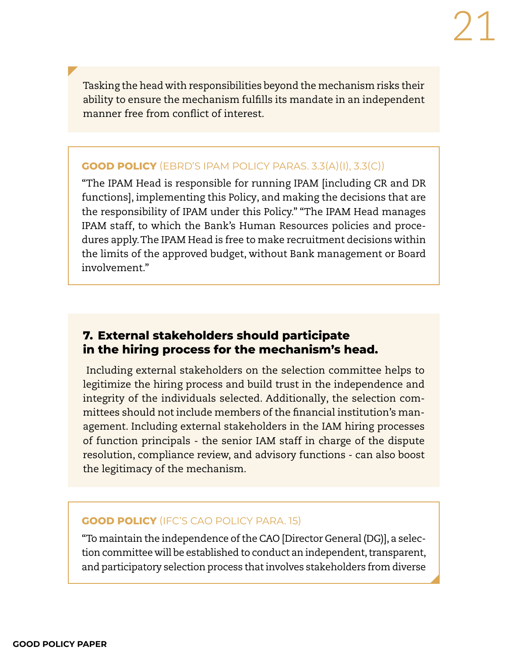Tasking the head with responsibilities beyond the mechanism risks their ability to ensure the mechanism fulfills its mandate in an independent manner free from conflict of interest.

#### **GOOD POLICY** (EBRD'S IPAM POLICY PARAS. 3.3(A)(I), 3.3(C))

"The IPAM Head is responsible for running IPAM [including CR and DR functions], implementing this Policy, and making the decisions that are the responsibility of IPAM under this Policy." "The IPAM Head manages IPAM staff, to which the Bank's Human Resources policies and procedures apply. The IPAM Head is free to make recruitment decisions within the limits of the approved budget, without Bank management or Board involvement."

#### **7. External stakeholders should participate in the hiring process for the mechanism's head.**

 Including external stakeholders on the selection committee helps to legitimize the hiring process and build trust in the independence and integrity of the individuals selected. Additionally, the selection committees should not include members of the financial institution's management. Including external stakeholders in the IAM hiring processes of function principals - the senior IAM staff in charge of the dispute resolution, compliance review, and advisory functions - can also boost the legitimacy of the mechanism.

#### **GOOD POLICY** (IFC'S CAO POLICY PARA. 15)

"To maintain the independence of the CAO [Director General (DG)], a selection committee will be established to conduct an independent, transparent, and participatory selection process that involves stakeholders from diverse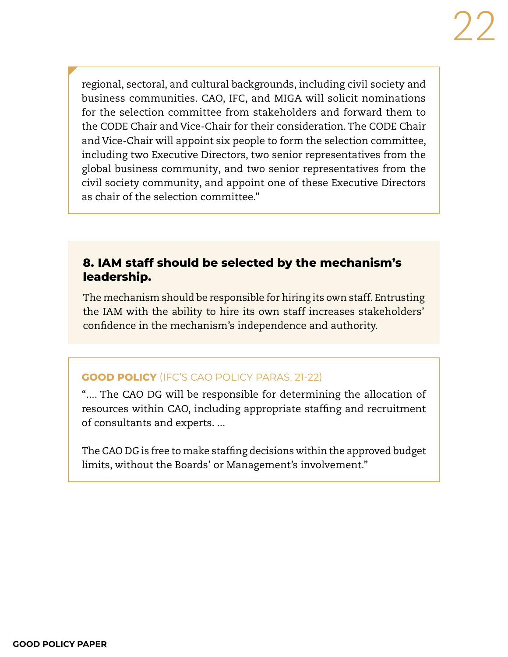regional, sectoral, and cultural backgrounds, including civil society and business communities. CAO, IFC, and MIGA will solicit nominations for the selection committee from stakeholders and forward them to the CODE Chair and Vice-Chair for their consideration. The CODE Chair and Vice-Chair will appoint six people to form the selection committee, including two Executive Directors, two senior representatives from the global business community, and two senior representatives from the civil society community, and appoint one of these Executive Directors as chair of the selection committee."

#### **8. IAM staff should be selected by the mechanism's leadership.**

The mechanism should be responsible for hiring its own staff. Entrusting the IAM with the ability to hire its own staff increases stakeholders' confidence in the mechanism's independence and authority.

#### **GOOD POLICY** (IFC'S CAO POLICY PARAS. 21-22)

".... The CAO DG will be responsible for determining the allocation of resources within CAO, including appropriate staffing and recruitment of consultants and experts. ...

The CAO DG is free to make staffing decisions within the approved budget limits, without the Boards' or Management's involvement."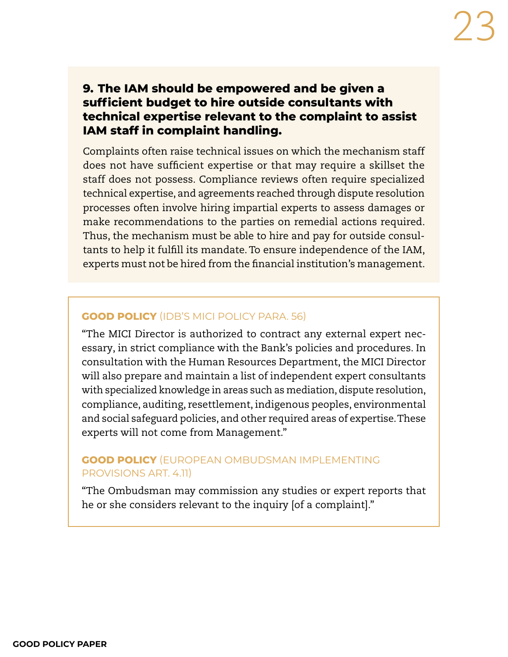#### **9. The IAM should be empowered and be given a sufficient budget to hire outside consultants with technical expertise relevant to the complaint to assist IAM staff in complaint handling.**

Complaints often raise technical issues on which the mechanism staff does not have sufficient expertise or that may require a skillset the staff does not possess. Compliance reviews often require specialized technical expertise, and agreements reached through dispute resolution processes often involve hiring impartial experts to assess damages or make recommendations to the parties on remedial actions required. Thus, the mechanism must be able to hire and pay for outside consultants to help it fulfill its mandate. To ensure independence of the IAM, experts must not be hired from the financial institution's management.

#### **GOOD POLICY** (IDB'S MICI POLICY PARA. 56)

"The MICI Director is authorized to contract any external expert necessary, in strict compliance with the Bank's policies and procedures. In consultation with the Human Resources Department, the MICI Director will also prepare and maintain a list of independent expert consultants with specialized knowledge in areas such as mediation, dispute resolution, compliance, auditing, resettlement, indigenous peoples, environmental and social safeguard policies, and other required areas of expertise. These experts will not come from Management."

#### **GOOD POLICY** (EUROPEAN OMBUDSMAN IMPLEMENTING PROVISIONS ART. 4.11)

"The Ombudsman may commission any studies or expert reports that he or she considers relevant to the inquiry [of a complaint]."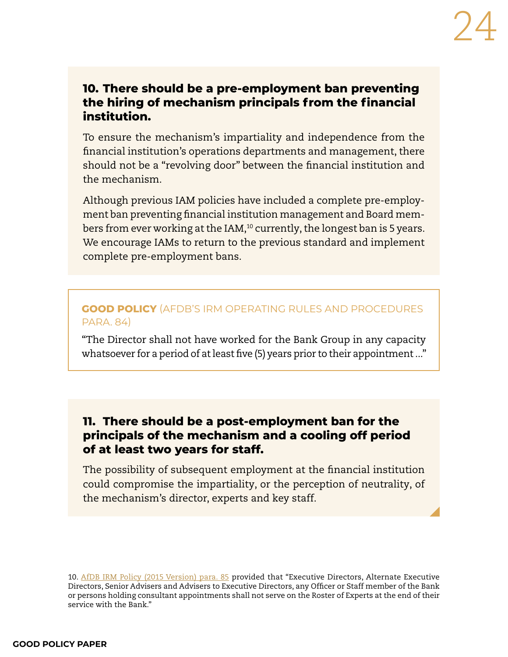#### **10. There should be a pre-employment ban preventing the hiring of mechanism principals from the financial institution.**

To ensure the mechanism's impartiality and independence from the financial institution's operations departments and management, there should not be a "revolving door" between the financial institution and the mechanism.

Although previous IAM policies have included a complete pre-employment ban preventing financial institution management and Board members from ever working at the IAM,<sup>10</sup> currently, the longest ban is 5 years. We encourage IAMs to return to the previous standard and implement complete pre-employment bans.

#### **GOOD POLICY** (AFDB'S IRM OPERATING RULES AND PROCEDURES PARA. 84)

"The Director shall not have worked for the Bank Group in any capacity whatsoever for a period of at least five (5) years prior to their appointment ..."

#### **11. There should be a post-employment ban for the principals of the mechanism and a cooling off period of at least two years for staff.**

The possibility of subsequent employment at the financial institution could compromise the impartiality, or the perception of neutrality, of the mechanism's director, experts and key staff.

10. [AfDB IRM Policy \(2015 Version\) para. 85](https://www.afdb.org/sites/default/files/2021/04/07/eng_irm_operating_rules_and_procedures_2015.pdf) provided that "Executive Directors, Alternate Executive Directors, Senior Advisers and Advisers to Executive Directors, any Officer or Staff member of the Bank or persons holding consultant appointments shall not serve on the Roster of Experts at the end of their service with the Bank."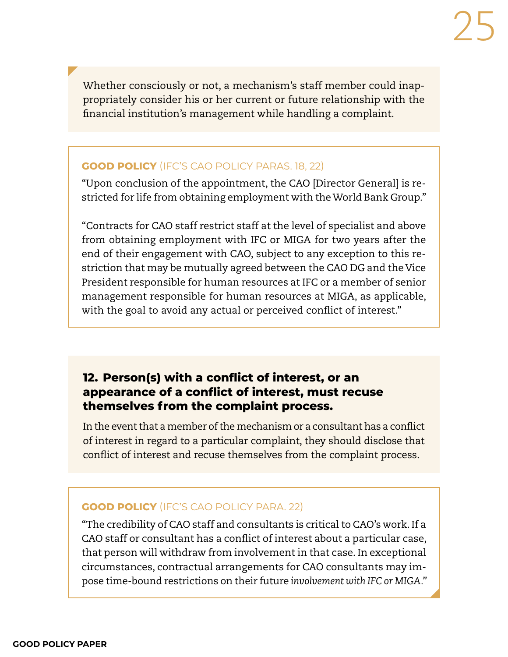Whether consciously or not, a mechanism's staff member could inappropriately consider his or her current or future relationship with the financial institution's management while handling a complaint.

#### **GOOD POLICY** (IFC'S CAO POLICY PARAS. 18, 22)

"Upon conclusion of the appointment, the CAO [Director General] is restricted for life from obtaining employment with the World Bank Group."

"Contracts for CAO staff restrict staff at the level of specialist and above from obtaining employment with IFC or MIGA for two years after the end of their engagement with CAO, subject to any exception to this restriction that may be mutually agreed between the CAO DG and the Vice President responsible for human resources at IFC or a member of senior management responsible for human resources at MIGA, as applicable, with the goal to avoid any actual or perceived conflict of interest."

#### **12. Person(s) with a conflict of interest, or an appearance of a conflict of interest, must recuse themselves from the complaint process.**

In the event that a member of the mechanism or a consultant has a conflict of interest in regard to a particular complaint, they should disclose that conflict of interest and recuse themselves from the complaint process.

#### **GOOD POLICY** (IFC'S CAO POLICY PARA. 22)

"The credibility of CAO staff and consultants is critical to CAO's work. If a CAO staff or consultant has a conflict of interest about a particular case, that person will withdraw from involvement in that case. In exceptional circumstances, contractual arrangements for CAO consultants may impose time-bound restrictions on their future *involvement with IFC or MIGA."*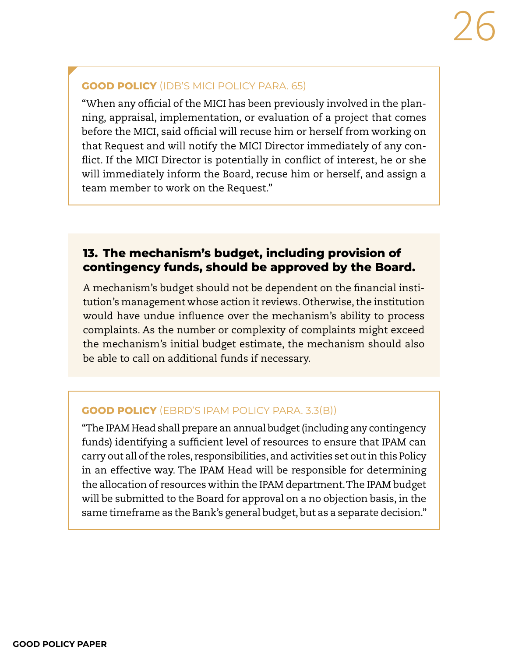#### **GOOD POLICY** (IDB'S MICI POLICY PARA. 65)

"When any official of the MICI has been previously involved in the planning, appraisal, implementation, or evaluation of a project that comes before the MICI, said official will recuse him or herself from working on that Request and will notify the MICI Director immediately of any conflict. If the MICI Director is potentially in conflict of interest, he or she will immediately inform the Board, recuse him or herself, and assign a team member to work on the Request."

#### **13. The mechanism's budget, including provision of contingency funds, should be approved by the Board.**

A mechanism's budget should not be dependent on the financial institution's management whose action it reviews. Otherwise, the institution would have undue influence over the mechanism's ability to process complaints. As the number or complexity of complaints might exceed the mechanism's initial budget estimate, the mechanism should also be able to call on additional funds if necessary.

#### **GOOD POLICY** (EBRD'S IPAM POLICY PARA. 3.3(B))

"The IPAM Head shall prepare an annual budget (including any contingency funds) identifying a sufficient level of resources to ensure that IPAM can carry out all of the roles, responsibilities, and activities set out in this Policy in an effective way. The IPAM Head will be responsible for determining the allocation of resources within the IPAM department. The IPAM budget will be submitted to the Board for approval on a no objection basis, in the same timeframe as the Bank's general budget, but as a separate decision."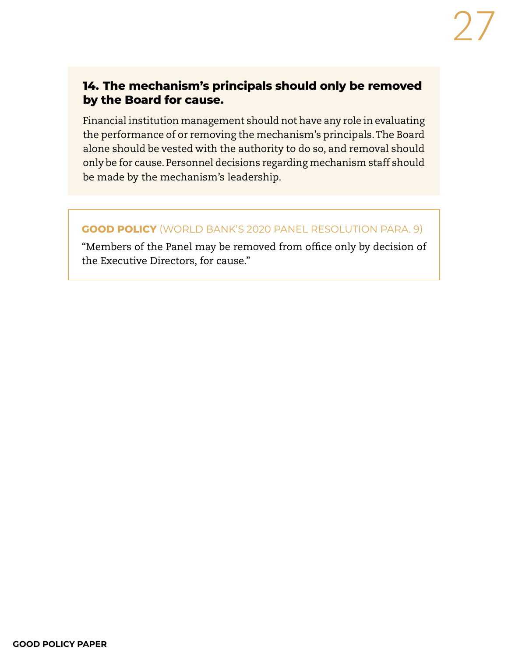#### **14. The mechanism's principals should only be removed by the Board for cause.**

Financial institution management should not have any role in evaluating the performance of or removing the mechanism's principals. The Board alone should be vested with the authority to do so, and removal should only be for cause. Personnel decisions regarding mechanism staff should be made by the mechanism's leadership.

#### **GOOD POLICY** (WORLD BANK'S 2020 PANEL RESOLUTION PARA. 9)

"Members of the Panel may be removed from office only by decision of the Executive Directors, for cause."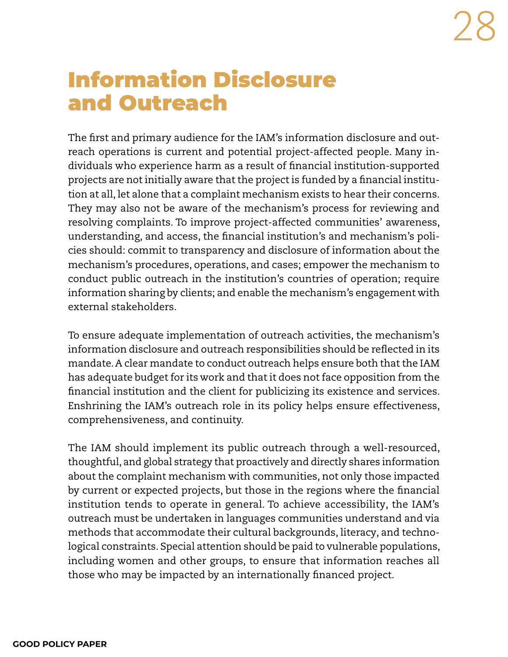# <span id="page-27-0"></span>Information Disclosure and Outreach

The first and primary audience for the IAM's information disclosure and outreach operations is current and potential project-affected people. Many individuals who experience harm as a result of financial institution-supported projects are not initially aware that the project is funded by a financial institution at all, let alone that a complaint mechanism exists to hear their concerns. They may also not be aware of the mechanism's process for reviewing and resolving complaints. To improve project-affected communities' awareness, understanding, and access, the financial institution's and mechanism's policies should: commit to transparency and disclosure of information about the mechanism's procedures, operations, and cases; empower the mechanism to conduct public outreach in the institution's countries of operation; require information sharing by clients; and enable the mechanism's engagement with external stakeholders.

To ensure adequate implementation of outreach activities, the mechanism's information disclosure and outreach responsibilities should be reflected in its mandate. A clear mandate to conduct outreach helps ensure both that the IAM has adequate budget for its work and that it does not face opposition from the financial institution and the client for publicizing its existence and services. Enshrining the IAM's outreach role in its policy helps ensure effectiveness, comprehensiveness, and continuity.

The IAM should implement its public outreach through a well-resourced, thoughtful, and global strategy that proactively and directly shares information about the complaint mechanism with communities, not only those impacted by current or expected projects, but those in the regions where the financial institution tends to operate in general. To achieve accessibility, the IAM's outreach must be undertaken in languages communities understand and via methods that accommodate their cultural backgrounds, literacy, and technological constraints. Special attention should be paid to vulnerable populations, including women and other groups, to ensure that information reaches all those who may be impacted by an internationally financed project.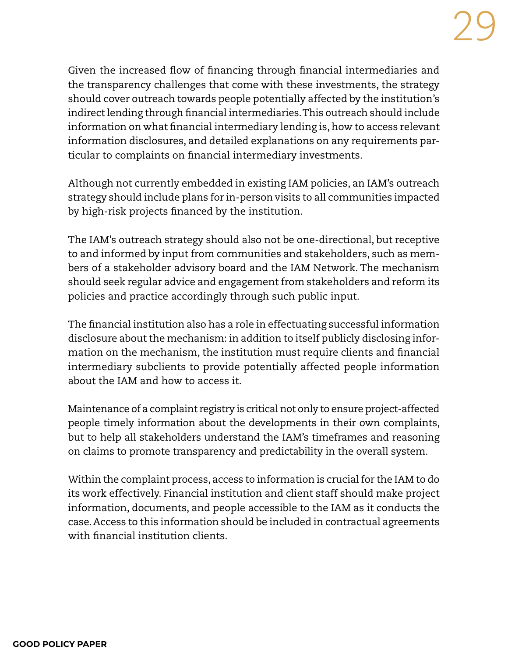Given the increased flow of financing through financial intermediaries and the transparency challenges that come with these investments, the strategy should cover outreach towards people potentially affected by the institution's indirect lending through financial intermediaries. This outreach should include information on what financial intermediary lending is, how to access relevant information disclosures, and detailed explanations on any requirements particular to complaints on financial intermediary investments.

Although not currently embedded in existing IAM policies, an IAM's outreach strategy should include plans for in-person visits to all communities impacted by high-risk projects financed by the institution.

The IAM's outreach strategy should also not be one-directional, but receptive to and informed by input from communities and stakeholders, such as members of a stakeholder advisory board and the IAM Network. The mechanism should seek regular advice and engagement from stakeholders and reform its policies and practice accordingly through such public input.

The financial institution also has a role in effectuating successful information disclosure about the mechanism: in addition to itself publicly disclosing information on the mechanism, the institution must require clients and financial intermediary subclients to provide potentially affected people information about the IAM and how to access it.

Maintenance of a complaint registry is critical not only to ensure project-affected people timely information about the developments in their own complaints, but to help all stakeholders understand the IAM's timeframes and reasoning on claims to promote transparency and predictability in the overall system.

Within the complaint process, access to information is crucial for the IAM to do its work effectively. Financial institution and client staff should make project information, documents, and people accessible to the IAM as it conducts the case. Access to this information should be included in contractual agreements with financial institution clients.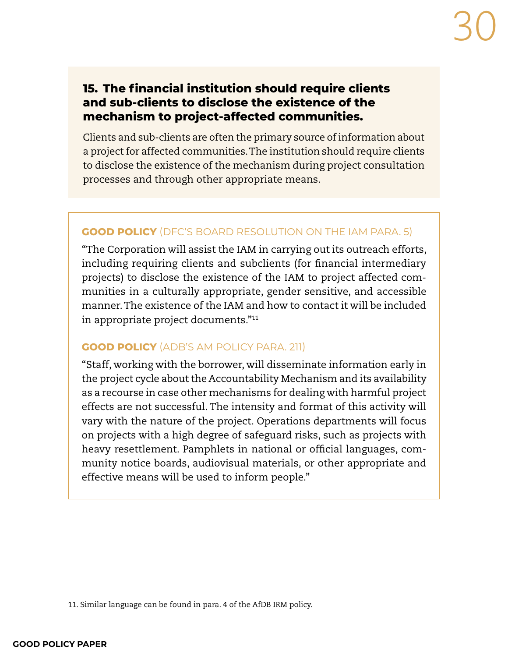#### **15. The financial institution should require clients and sub-clients to disclose the existence of the mechanism to project-affected communities.**

Clients and sub-clients are often the primary source of information about a project for affected communities. The institution should require clients to disclose the existence of the mechanism during project consultation processes and through other appropriate means.

#### **GOOD POLICY** (DFC'S BOARD RESOLUTION ON THE IAM PARA. 5)

"The Corporation will assist the IAM in carrying out its outreach efforts, including requiring clients and subclients (for financial intermediary projects) to disclose the existence of the IAM to project affected communities in a culturally appropriate, gender sensitive, and accessible manner. The existence of the IAM and how to contact it will be included in appropriate project documents."11

#### **GOOD POLICY** (ADB'S AM POLICY PARA. 211)

"Staff, working with the borrower, will disseminate information early in the project cycle about the Accountability Mechanism and its availability as a recourse in case other mechanisms for dealing with harmful project effects are not successful. The intensity and format of this activity will vary with the nature of the project. Operations departments will focus on projects with a high degree of safeguard risks, such as projects with heavy resettlement. Pamphlets in national or official languages, community notice boards, audiovisual materials, or other appropriate and effective means will be used to inform people."

<sup>11.</sup> Similar language can be found in para. 4 of the AfDB IRM policy.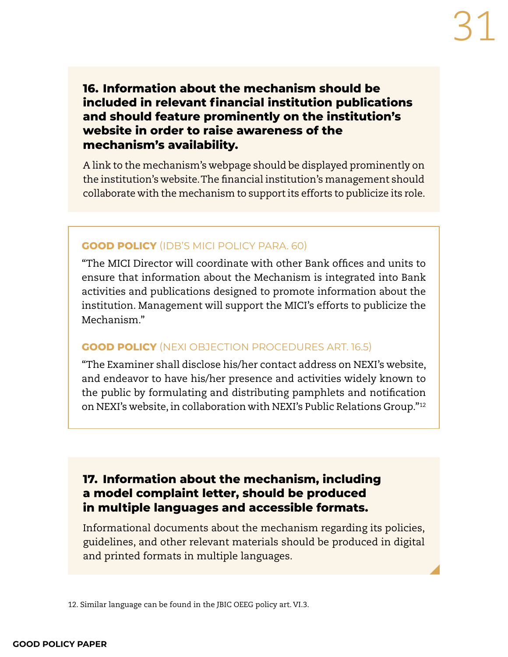**16. Information about the mechanism should be included in relevant financial institution publications and should feature prominently on the institution's website in order to raise awareness of the mechanism's availability.**

A link to the mechanism's webpage should be displayed prominently on the institution's website. The financial institution's management should collaborate with the mechanism to support its efforts to publicize its role.

#### **GOOD POLICY** (IDB'S MICI POLICY PARA. 60)

"The MICI Director will coordinate with other Bank offices and units to ensure that information about the Mechanism is integrated into Bank activities and publications designed to promote information about the institution. Management will support the MICI's efforts to publicize the Mechanism."

#### **GOOD POLICY** (NEXI OBJECTION PROCEDURES ART. 16.5)

"The Examiner shall disclose his/her contact address on NEXI's website, and endeavor to have his/her presence and activities widely known to the public by formulating and distributing pamphlets and notification on NEXI's website, in collaboration with NEXI's Public Relations Group."12

#### **17. Information about the mechanism, including a model complaint letter, should be produced in multiple languages and accessible formats.**

Informational documents about the mechanism regarding its policies, guidelines, and other relevant materials should be produced in digital and printed formats in multiple languages.

12. Similar language can be found in the JBIC OEEG policy art. VI.3.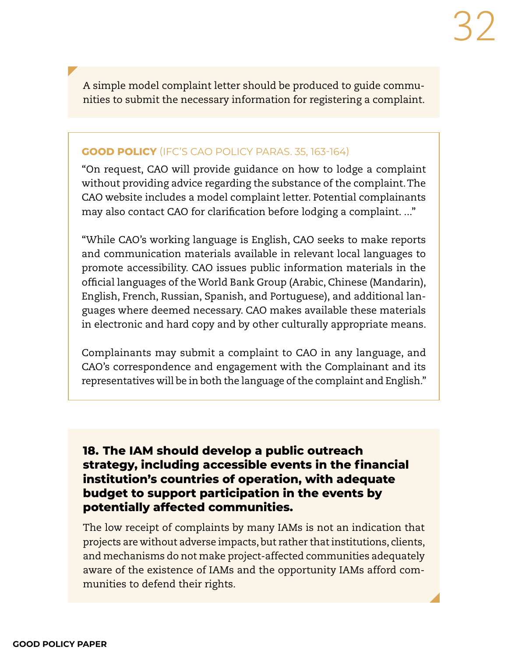A simple model complaint letter should be produced to guide communities to submit the necessary information for registering a complaint.

#### **GOOD POLICY** (IFC'S CAO POLICY PARAS. 35, 163-164)

"On request, CAO will provide guidance on how to lodge a complaint without providing advice regarding the substance of the complaint. The CAO website includes a model complaint letter. Potential complainants may also contact CAO for clarification before lodging a complaint. ..."

"While CAO's working language is English, CAO seeks to make reports and communication materials available in relevant local languages to promote accessibility. CAO issues public information materials in the official languages of the World Bank Group (Arabic, Chinese (Mandarin), English, French, Russian, Spanish, and Portuguese), and additional languages where deemed necessary. CAO makes available these materials in electronic and hard copy and by other culturally appropriate means.

Complainants may submit a complaint to CAO in any language, and CAO's correspondence and engagement with the Complainant and its representatives will be in both the language of the complaint and English."

**18. The IAM should develop a public outreach strategy, including accessible events in the financial institution's countries of operation, with adequate budget to support participation in the events by potentially affected communities.** 

The low receipt of complaints by many IAMs is not an indication that projects are without adverse impacts, but rather that institutions, clients, and mechanisms do not make project-affected communities adequately aware of the existence of IAMs and the opportunity IAMs afford communities to defend their rights.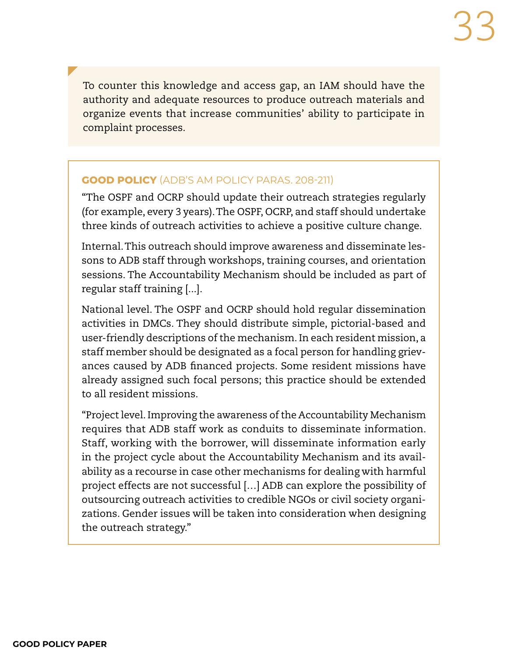To counter this knowledge and access gap, an IAM should have the authority and adequate resources to produce outreach materials and organize events that increase communities' ability to participate in complaint processes.

#### **GOOD POLICY** (ADB'S AM POLICY PARAS. 208-211)

"The OSPF and OCRP should update their outreach strategies regularly (for example, every 3 years). The OSPF, OCRP, and staff should undertake three kinds of outreach activities to achieve a positive culture change.

Internal. This outreach should improve awareness and disseminate lessons to ADB staff through workshops, training courses, and orientation sessions. The Accountability Mechanism should be included as part of regular staff training [...].

National level. The OSPF and OCRP should hold regular dissemination activities in DMCs. They should distribute simple, pictorial-based and user-friendly descriptions of the mechanism. In each resident mission, a staff member should be designated as a focal person for handling grievances caused by ADB financed projects. Some resident missions have already assigned such focal persons; this practice should be extended to all resident missions.

"Project level. Improving the awareness of the Accountability Mechanism requires that ADB staff work as conduits to disseminate information. Staff, working with the borrower, will disseminate information early in the project cycle about the Accountability Mechanism and its availability as a recourse in case other mechanisms for dealing with harmful project effects are not successful […] ADB can explore the possibility of outsourcing outreach activities to credible NGOs or civil society organizations. Gender issues will be taken into consideration when designing the outreach strategy."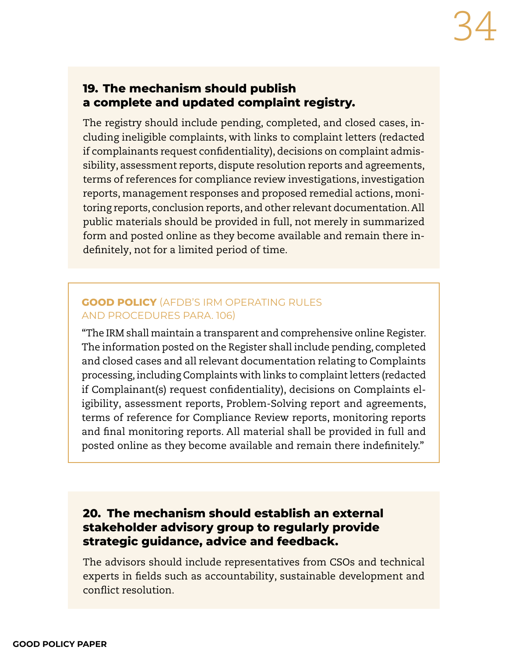#### **19. The mechanism should publish a complete and updated complaint registry.**

The registry should include pending, completed, and closed cases, including ineligible complaints, with links to complaint letters (redacted if complainants request confidentiality), decisions on complaint admissibility, assessment reports, dispute resolution reports and agreements, terms of references for compliance review investigations, investigation reports, management responses and proposed remedial actions, monitoring reports, conclusion reports, and other relevant documentation. All public materials should be provided in full, not merely in summarized form and posted online as they become available and remain there indefinitely, not for a limited period of time.

#### **GOOD POLICY** (AFDB'S IRM OPERATING RULES AND PROCEDURES PARA. 106)

"The IRM shall maintain a transparent and comprehensive online Register. The information posted on the Register shall include pending, completed and closed cases and all relevant documentation relating to Complaints processing, including Complaints with links to complaint letters (redacted if Complainant(s) request confidentiality), decisions on Complaints eligibility, assessment reports, Problem-Solving report and agreements, terms of reference for Compliance Review reports, monitoring reports and final monitoring reports. All material shall be provided in full and posted online as they become available and remain there indefinitely."

#### **20. The mechanism should establish an external stakeholder advisory group to regularly provide strategic guidance, advice and feedback.**

The advisors should include representatives from CSOs and technical experts in fields such as accountability, sustainable development and conflict resolution.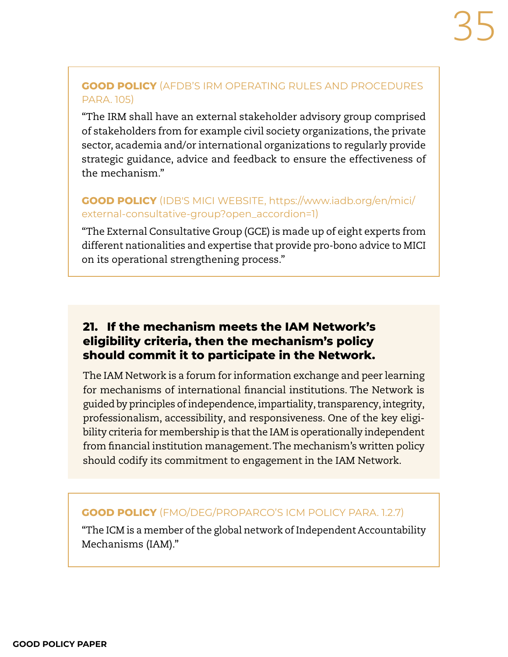#### **GOOD POLICY** (AFDB'S IRM OPERATING RULES AND PROCEDURES PARA. 105)

"The IRM shall have an external stakeholder advisory group comprised of stakeholders from for example civil society organizations, the private sector, academia and/or international organizations to regularly provide strategic guidance, advice and feedback to ensure the effectiveness of the mechanism."

#### **GOOD POLICY** (IDB'S MICI WEBSITE, [https://www.iadb.org/en/mici/](https://www.iadb.org/en/mici/external-consultative-group?open_accordion=1) [external-consultative-group?open\\_accordion=1](https://www.iadb.org/en/mici/external-consultative-group?open_accordion=1))

"The External Consultative Group (GCE) is made up of eight experts from different nationalities and expertise that provide pro-bono advice to MICI on its operational strengthening process."

#### **21. If the mechanism meets the IAM Network's eligibility criteria, then the mechanism's policy should commit it to participate in the Network.**

The IAM Network is a forum for information exchange and peer learning for mechanisms of international financial institutions. The Network is guided by principles of independence, impartiality, transparency, integrity, professionalism, accessibility, and responsiveness. One of the key eligibility criteria for membership is that the IAM is operationally independent from financial institution management. The mechanism's written policy should codify its commitment to engagement in the IAM Network.

#### **GOOD POLICY** (FMO/DEG/PROPARCO'S ICM POLICY PARA. 1.2.7)

"The ICM is a member of the global network of Independent Accountability Mechanisms (IAM)."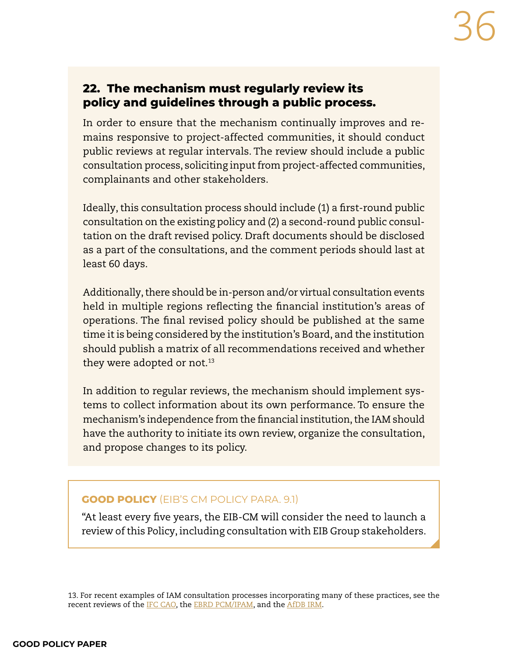#### **22. The mechanism must regularly review its policy and guidelines through a public process.**

In order to ensure that the mechanism continually improves and remains responsive to project-affected communities, it should conduct public reviews at regular intervals. The review should include a public consultation process, soliciting input from project-affected communities, complainants and other stakeholders.

Ideally, this consultation process should include (1) a first-round public consultation on the existing policy and (2) a second-round public consultation on the draft revised policy. Draft documents should be disclosed as a part of the consultations, and the comment periods should last at least 60 days.

Additionally, there should be in-person and/or virtual consultation events held in multiple regions reflecting the financial institution's areas of operations. The final revised policy should be published at the same time it is being considered by the institution's Board, and the institution should publish a matrix of all recommendations received and whether they were adopted or not.<sup>13</sup>

In addition to regular reviews, the mechanism should implement systems to collect information about its own performance. To ensure the mechanism's independence from the financial institution, the IAM should have the authority to initiate its own review, organize the consultation, and propose changes to its policy.

#### **GOOD POLICY** (EIB'S CM POLICY PARA. 9.1)

"At least every five years, the EIB-CM will consider the need to launch a review of this Policy, including consultation with EIB Group stakeholders.

13. For recent examples of IAM consultation processes incorporating many of these practices, see the recent reviews of the [IFC CAO](https://www.ifc.org/wps/wcm/connect/corp_ext_content/ifc_external_corporate_site/cao-policy-consultation), the [EBRD PCM/IPAM](https://www.ebrd.com/news/2018/ebrd-initiates-review-of-three-governance-policies.html), and the [AfDB IRM](https://www.afdb.org/en/news-and-events/third-review-of-african-development-banks-independent-review-mechanism-to-take-place-this-year-19007).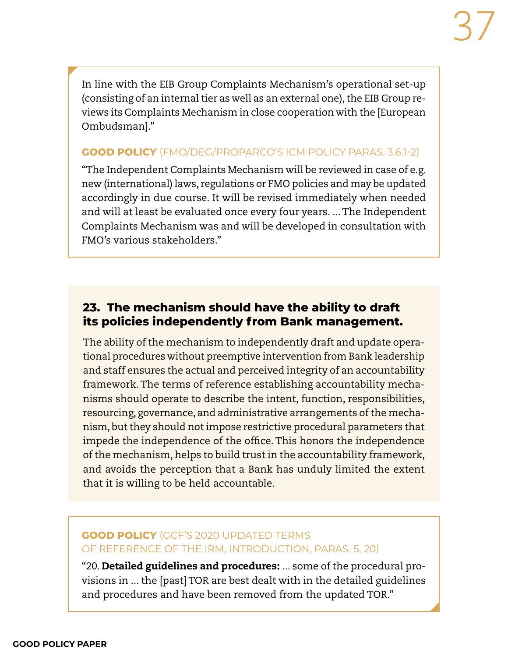In line with the EIB Group Complaints Mechanism's operational set-up (consisting of an internal tier as well as an external one), the EIB Group reviews its Complaints Mechanism in close cooperation with the [European Ombudsman]."

#### **GOOD POLICY** (FMO/DEG/PROPARCO'S ICM POLICY PARAS. 3.6.1-2)

"The Independent Complaints Mechanism will be reviewed in case of e.g. new (international) laws, regulations or FMO policies and may be updated accordingly in due course. It will be revised immediately when needed and will at least be evaluated once every four years. ... The Independent Complaints Mechanism was and will be developed in consultation with FMO's various stakeholders."

# **23. The mechanism should have the ability to draft its policies independently from Bank management.**

The ability of the mechanism to independently draft and update operational procedures without preemptive intervention from Bank leadership and staff ensures the actual and perceived integrity of an accountability framework. The terms of reference establishing accountability mechanisms should operate to describe the intent, function, responsibilities, resourcing, governance, and administrative arrangements of the mechanism, but they should not impose restrictive procedural parameters that impede the independence of the office. This honors the independence of the mechanism, helps to build trust in the accountability framework, and avoids the perception that a Bank has unduly limited the extent that it is willing to be held accountable.

## **GOOD POLICY** (GCF'S 2020 UPDATED TERMS OF REFERENCE OF THE IRM, INTRODUCTION, PARAS. 5, 20)

"20. Detailed guidelines and procedures: ... some of the procedural provisions in ... the [past] TOR are best dealt with in the detailed guidelines and procedures and have been removed from the updated TOR."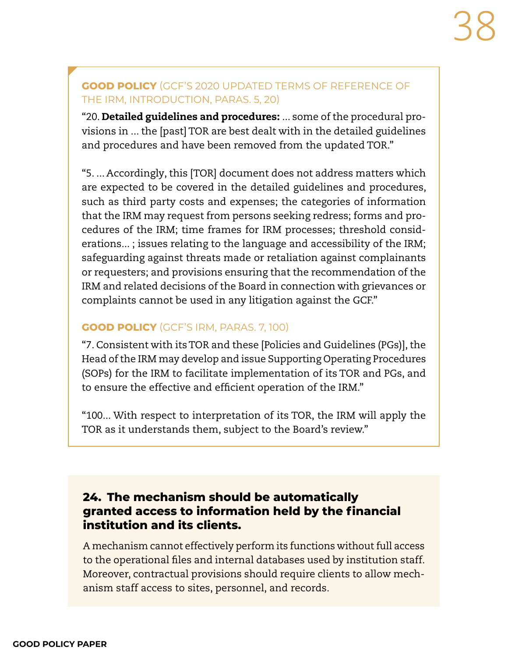### **GOOD POLICY** (GCF'S 2020 UPDATED TERMS OF REFERENCE OF THE IRM, INTRODUCTION, PARAS. 5, 20)

"20. Detailed guidelines and procedures: ... some of the procedural provisions in ... the [past] TOR are best dealt with in the detailed guidelines and procedures and have been removed from the updated TOR."

"5. ... Accordingly, this [TOR] document does not address matters which are expected to be covered in the detailed guidelines and procedures, such as third party costs and expenses; the categories of information that the IRM may request from persons seeking redress; forms and procedures of the IRM; time frames for IRM processes; threshold considerations... ; issues relating to the language and accessibility of the IRM; safeguarding against threats made or retaliation against complainants or requesters; and provisions ensuring that the recommendation of the IRM and related decisions of the Board in connection with grievances or complaints cannot be used in any litigation against the GCF."

#### **GOOD POLICY** (GCF'S IRM, PARAS. 7, 100)

"7. Consistent with its TOR and these [Policies and Guidelines (PGs)], the Head of the IRM may develop and issue Supporting Operating Procedures (SOPs) for the IRM to facilitate implementation of its TOR and PGs, and to ensure the effective and efficient operation of the IRM."

"100... With respect to interpretation of its TOR, the IRM will apply the TOR as it understands them, subject to the Board's review."

# **24. The mechanism should be automatically granted access to information held by the financial institution and its clients.**

A mechanism cannot effectively perform its functions without full access to the operational files and internal databases used by institution staff. Moreover, contractual provisions should require clients to allow mechanism staff access to sites, personnel, and records.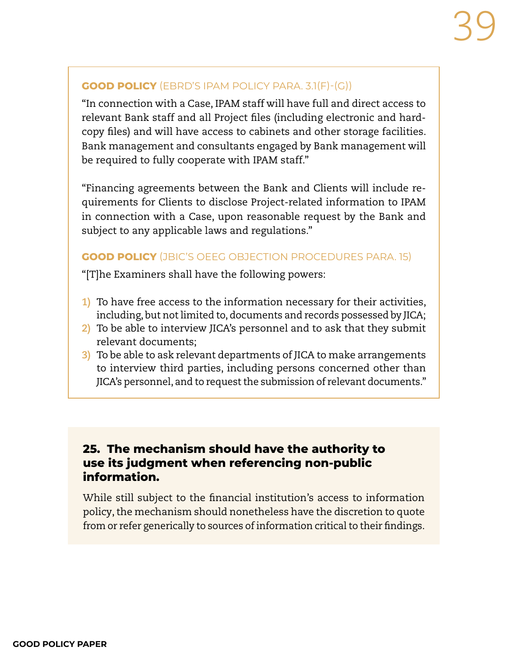#### **GOOD POLICY** (EBRD'S IPAM POLICY PARA. 3.1(F)-(G))

"In connection with a Case, IPAM staff will have full and direct access to relevant Bank staff and all Project files (including electronic and hardcopy files) and will have access to cabinets and other storage facilities. Bank management and consultants engaged by Bank management will be required to fully cooperate with IPAM staff."

"Financing agreements between the Bank and Clients will include requirements for Clients to disclose Project-related information to IPAM in connection with a Case, upon reasonable request by the Bank and subject to any applicable laws and regulations."

#### **GOOD POLICY** (JBIC'S OEEG OBJECTION PROCEDURES PARA. 15)

"[T]he Examiners shall have the following powers:

- **1)** To have free access to the information necessary for their activities, including, but not limited to, documents and records possessed by JICA;
- **2)** To be able to interview JICA's personnel and to ask that they submit relevant documents;
- **3)** To be able to ask relevant departments of JICA to make arrangements to interview third parties, including persons concerned other than JICA's personnel, and to request the submission of relevant documents."

# **25. The mechanism should have the authority to use its judgment when referencing non-public information.**

While still subject to the financial institution's access to information policy, the mechanism should nonetheless have the discretion to quote from or refer generically to sources of information critical to their findings.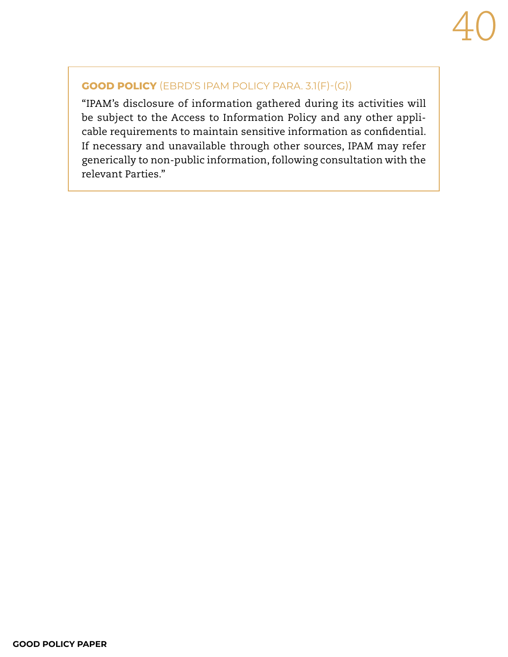#### **GOOD POLICY** (EBRD'S IPAM POLICY PARA. 3.1(F)-(G))

"IPAM's disclosure of information gathered during its activities will be subject to the Access to Information Policy and any other applicable requirements to maintain sensitive information as confidential. If necessary and unavailable through other sources, IPAM may refer generically to non-public information, following consultation with the relevant Parties."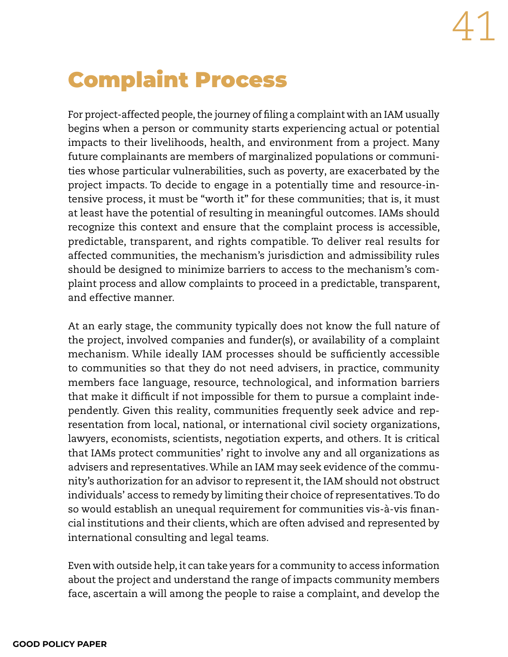# Complaint Process

For project-affected people, the journey of filing a complaint with an IAM usually begins when a person or community starts experiencing actual or potential impacts to their livelihoods, health, and environment from a project. Many future complainants are members of marginalized populations or communities whose particular vulnerabilities, such as poverty, are exacerbated by the project impacts. To decide to engage in a potentially time and resource-intensive process, it must be "worth it" for these communities; that is, it must at least have the potential of resulting in meaningful outcomes. IAMs should recognize this context and ensure that the complaint process is accessible, predictable, transparent, and rights compatible. To deliver real results for affected communities, the mechanism's jurisdiction and admissibility rules should be designed to minimize barriers to access to the mechanism's complaint process and allow complaints to proceed in a predictable, transparent, and effective manner.

At an early stage, the community typically does not know the full nature of the project, involved companies and funder(s), or availability of a complaint mechanism. While ideally IAM processes should be sufficiently accessible to communities so that they do not need advisers, in practice, community members face language, resource, technological, and information barriers that make it difficult if not impossible for them to pursue a complaint independently. Given this reality, communities frequently seek advice and representation from local, national, or international civil society organizations, lawyers, economists, scientists, negotiation experts, and others. It is critical that IAMs protect communities' right to involve any and all organizations as advisers and representatives. While an IAM may seek evidence of the community's authorization for an advisor to represent it, the IAM should not obstruct individuals' access to remedy by limiting their choice of representatives. To do so would establish an unequal requirement for communities vis-à-vis financial institutions and their clients, which are often advised and represented by international consulting and legal teams.

Even with outside help, it can take years for a community to access information about the project and understand the range of impacts community members face, ascertain a will among the people to raise a complaint, and develop the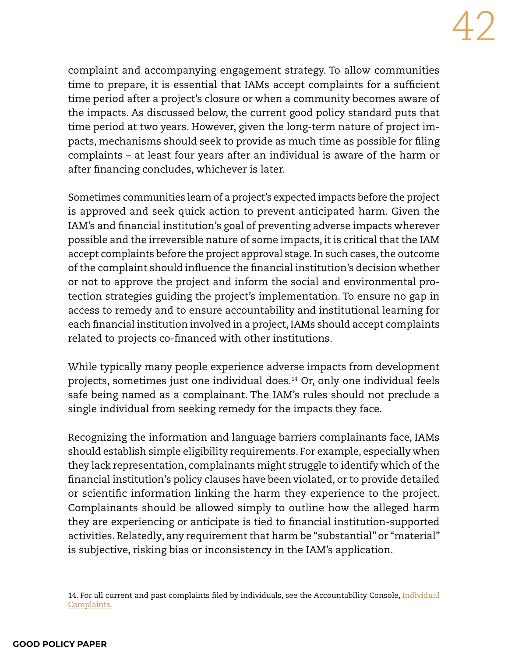complaint and accompanying engagement strategy. To allow communities time to prepare, it is essential that IAMs accept complaints for a sufficient time period after a project's closure or when a community becomes aware of the impacts. As discussed below, the current good policy standard puts that time period at two years. However, given the long-term nature of project impacts, mechanisms should seek to provide as much time as possible for filing complaints – at least four years after an individual is aware of the harm or after financing concludes, whichever is later.

Sometimes communities learn of a project's expected impacts before the project is approved and seek quick action to prevent anticipated harm. Given the IAM's and financial institution's goal of preventing adverse impacts wherever possible and the irreversible nature of some impacts, it is critical that the IAM accept complaints before the project approval stage. In such cases, the outcome of the complaint should influence the financial institution's decision whether or not to approve the project and inform the social and environmental protection strategies guiding the project's implementation. To ensure no gap in access to remedy and to ensure accountability and institutional learning for each financial institution involved in a project, IAMs should accept complaints related to projects co-financed with other institutions.

While typically many people experience adverse impacts from development projects, sometimes just one individual does.14 Or, only one individual feels safe being named as a complainant. The IAM's rules should not preclude a single individual from seeking remedy for the impacts they face.

Recognizing the information and language barriers complainants face, IAMs should establish simple eligibility requirements. For example, especially when they lack representation, complainants might struggle to identify which of the financial institution's policy clauses have been violated, or to provide detailed or scientific information linking the harm they experience to the project. Complainants should be allowed simply to outline how the alleged harm they are experiencing or anticipate is tied to financial institution-supported activities. Relatedly, any requirement that harm be "substantial" or "material" is subjective, risking bias or inconsistency in the IAM's application.

<sup>14.</sup> For all current and past complaints filed by individuals, see the Accountability Console[, Individual](https://www.accountabilityconsole.com/complaints/?filer_group__group_type=individual&year_filed=&year_closed=&min_duration=&max_duration=) [Complaints.](https://www.accountabilityconsole.com/complaints/?filer_group__group_type=individual&year_filed=&year_closed=&min_duration=&max_duration=)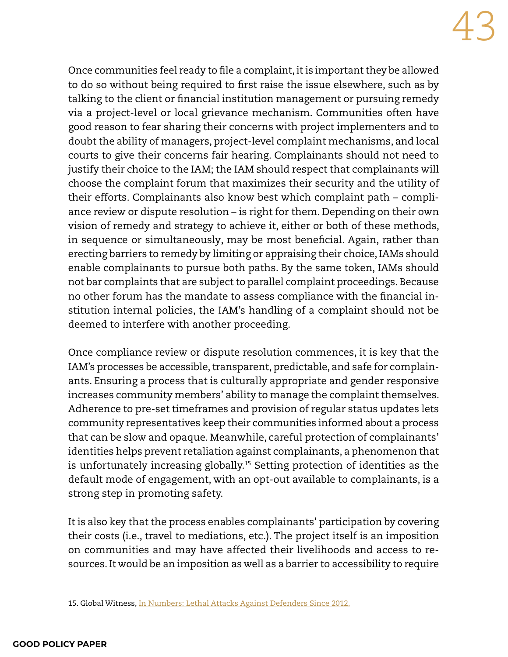Once communities feel ready to file a complaint, it is important they be allowed to do so without being required to first raise the issue elsewhere, such as by talking to the client or financial institution management or pursuing remedy via a project-level or local grievance mechanism. Communities often have good reason to fear sharing their concerns with project implementers and to doubt the ability of managers, project-level complaint mechanisms, and local courts to give their concerns fair hearing. Complainants should not need to justify their choice to the IAM; the IAM should respect that complainants will choose the complaint forum that maximizes their security and the utility of their efforts. Complainants also know best which complaint path – compliance review or dispute resolution – is right for them. Depending on their own vision of remedy and strategy to achieve it, either or both of these methods, in sequence or simultaneously, may be most beneficial. Again, rather than erecting barriers to remedy by limiting or appraising their choice, IAMs should enable complainants to pursue both paths. By the same token, IAMs should not bar complaints that are subject to parallel complaint proceedings. Because no other forum has the mandate to assess compliance with the financial institution internal policies, the IAM's handling of a complaint should not be deemed to interfere with another proceeding.

Once compliance review or dispute resolution commences, it is key that the IAM's processes be accessible, transparent, predictable, and safe for complainants. Ensuring a process that is culturally appropriate and gender responsive increases community members' ability to manage the complaint themselves. Adherence to pre-set timeframes and provision of regular status updates lets community representatives keep their communities informed about a process that can be slow and opaque. Meanwhile, careful protection of complainants' identities helps prevent retaliation against complainants, a phenomenon that is unfortunately increasing globally.15 Setting protection of identities as the default mode of engagement, with an opt-out available to complainants, is a strong step in promoting safety.

It is also key that the process enables complainants' participation by covering their costs (i.e., travel to mediations, etc.). The project itself is an imposition on communities and may have affected their livelihoods and access to resources. It would be an imposition as well as a barrier to accessibility to require

<sup>15.</sup> Global Witness, [In Numbers: Lethal Attacks Against Defenders Since 2012.](https://www.globalwitness.org/en/campaigns/environmental-activists/numbers-lethal-attacks-against-defenders-2012/)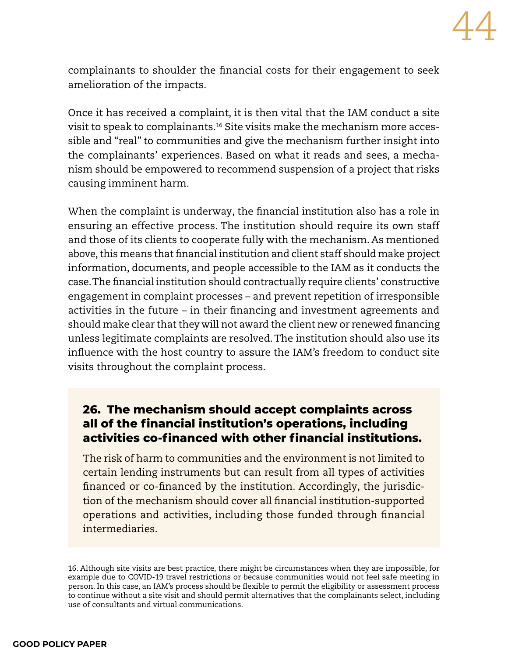

complainants to shoulder the financial costs for their engagement to seek amelioration of the impacts.

Once it has received a complaint, it is then vital that the IAM conduct a site visit to speak to complainants.16 Site visits make the mechanism more accessible and "real" to communities and give the mechanism further insight into the complainants' experiences. Based on what it reads and sees, a mechanism should be empowered to recommend suspension of a project that risks causing imminent harm.

When the complaint is underway, the financial institution also has a role in ensuring an effective process. The institution should require its own staff and those of its clients to cooperate fully with the mechanism. As mentioned above, this means that financial institution and client staff should make project information, documents, and people accessible to the IAM as it conducts the case. The financial institution should contractually require clients' constructive engagement in complaint processes – and prevent repetition of irresponsible activities in the future – in their financing and investment agreements and should make clear that they will not award the client new or renewed financing unless legitimate complaints are resolved. The institution should also use its influence with the host country to assure the IAM's freedom to conduct site visits throughout the complaint process.

## **26. The mechanism should accept complaints across all of the financial institution's operations, including activities co-financed with other financial institutions.**

The risk of harm to communities and the environment is not limited to certain lending instruments but can result from all types of activities financed or co-financed by the institution. Accordingly, the jurisdiction of the mechanism should cover all financial institution-supported operations and activities, including those funded through financial intermediaries.

<sup>16.</sup> Although site visits are best practice, there might be circumstances when they are impossible, for example due to COVID-19 travel restrictions or because communities would not feel safe meeting in person. In this case, an IAM's process should be flexible to permit the eligibility or assessment process to continue without a site visit and should permit alternatives that the complainants select, including use of consultants and virtual communications.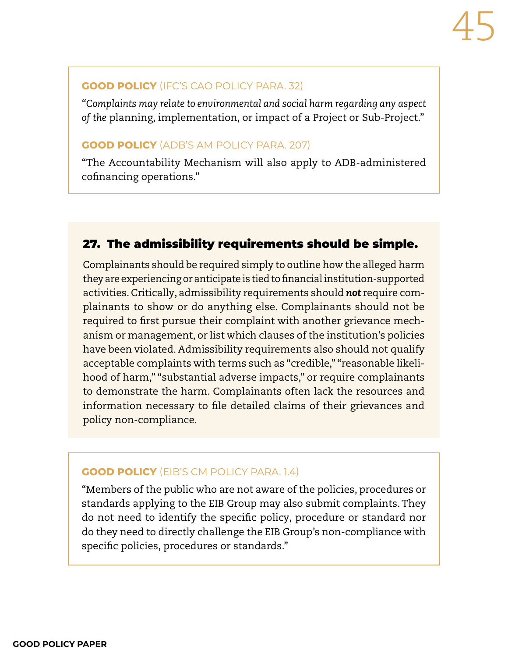#### **GOOD POLICY** (IFC'S CAO POLICY PARA. 32)

*"Complaints may relate to environmental and social harm regarding any aspect of the* planning, implementation, or impact of a Project or Sub-Project."

#### **GOOD POLICY** (ADB'S AM POLICY PARA. 207)

"The Accountability Mechanism will also apply to ADB-administered cofinancing operations."

# 27. The admissibility requirements should be simple.

Complainants should be required simply to outline how the alleged harm they are experiencing or anticipate is tied to financial institution-supported activities. Critically, admissibility requirements should *not* require complainants to show or do anything else. Complainants should not be required to first pursue their complaint with another grievance mechanism or management, or list which clauses of the institution's policies have been violated. Admissibility requirements also should not qualify acceptable complaints with terms such as "credible," "reasonable likelihood of harm," "substantial adverse impacts," or require complainants to demonstrate the harm. Complainants often lack the resources and information necessary to file detailed claims of their grievances and policy non-compliance.

#### **GOOD POLICY** (EIB'S CM POLICY PARA. 1.4)

"Members of the public who are not aware of the policies, procedures or standards applying to the EIB Group may also submit complaints. They do not need to identify the specific policy, procedure or standard nor do they need to directly challenge the EIB Group's non-compliance with specific policies, procedures or standards."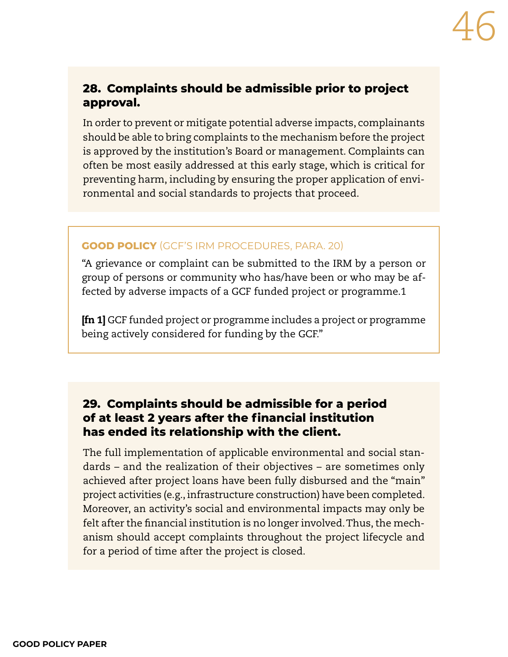# **28. Complaints should be admissible prior to project approval.**

In order to prevent or mitigate potential adverse impacts, complainants should be able to bring complaints to the mechanism before the project is approved by the institution's Board or management. Complaints can often be most easily addressed at this early stage, which is critical for preventing harm, including by ensuring the proper application of environmental and social standards to projects that proceed.

#### **GOOD POLICY** (GCF'S IRM PROCEDURES, PARA. 20)

"A grievance or complaint can be submitted to the IRM by a person or group of persons or community who has/have been or who may be affected by adverse impacts of a GCF funded project or programme.1

[fn 1] GCF funded project or programme includes a project or programme being actively considered for funding by the GCF."

# **29. Complaints should be admissible for a period of at least 2 years after the financial institution has ended its relationship with the client.**

The full implementation of applicable environmental and social standards – and the realization of their objectives – are sometimes only achieved after project loans have been fully disbursed and the "main" project activities (e.g., infrastructure construction) have been completed. Moreover, an activity's social and environmental impacts may only be felt after the financial institution is no longer involved. Thus, the mechanism should accept complaints throughout the project lifecycle and for a period of time after the project is closed.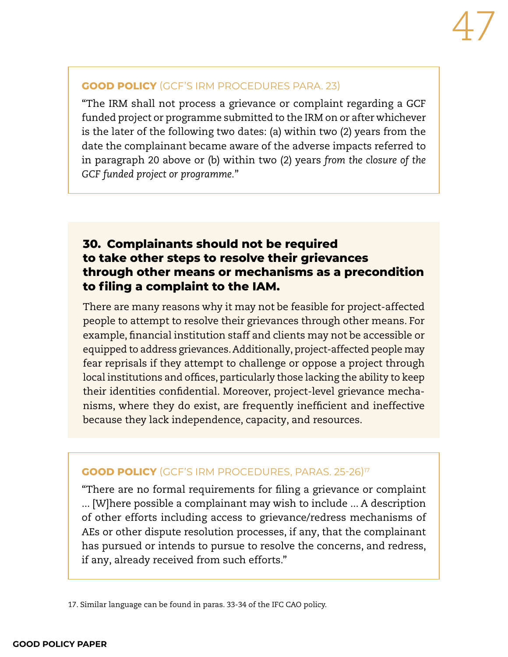#### **GOOD POLICY** (GCF'S IRM PROCEDURES PARA. 23)

"The IRM shall not process a grievance or complaint regarding a GCF funded project or programme submitted to the IRM on or after whichever is the later of the following two dates: (a) within two (2) years from the date the complainant became aware of the adverse impacts referred to in paragraph 20 above or (b) within two (2) years *from the closure of the GCF funded project or programme.*"

# **30. Complainants should not be required to take other steps to resolve their grievances through other means or mechanisms as a precondition to filing a complaint to the IAM.**

There are many reasons why it may not be feasible for project-affected people to attempt to resolve their grievances through other means. For example, financial institution staff and clients may not be accessible or equipped to address grievances. Additionally, project-affected people may fear reprisals if they attempt to challenge or oppose a project through local institutions and offices, particularly those lacking the ability to keep their identities confidential. Moreover, project-level grievance mechanisms, where they do exist, are frequently inefficient and ineffective because they lack independence, capacity, and resources.

#### **GOOD POLICY** (GCF'S IRM PROCEDURES, PARAS. 25-26)<sup>17</sup>

"There are no formal requirements for filing a grievance or complaint ... [W]here possible a complainant may wish to include ... A description of other efforts including access to grievance/redress mechanisms of AEs or other dispute resolution processes, if any, that the complainant has pursued or intends to pursue to resolve the concerns, and redress, if any, already received from such efforts."

17. Similar language can be found in paras. 33-34 of the IFC CAO policy.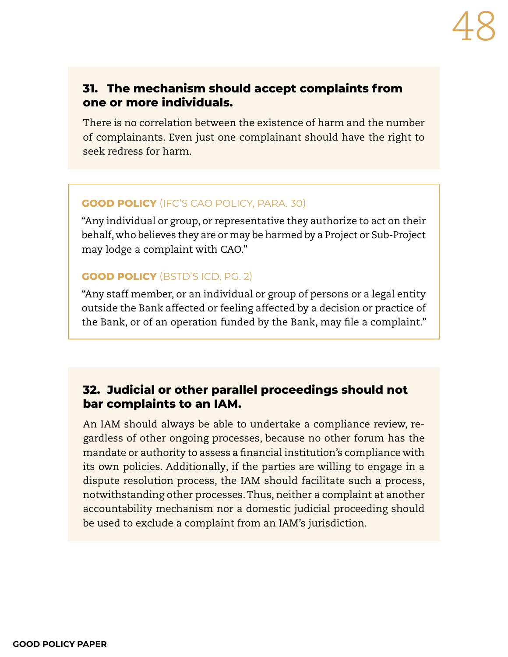## **31. The mechanism should accept complaints from one or more individuals.**

There is no correlation between the existence of harm and the number of complainants. Even just one complainant should have the right to seek redress for harm.

## **GOOD POLICY** (IFC'S CAO POLICY, PARA. 30)

"Any individual or group, or representative they authorize to act on their behalf, who believes they are or may be harmed by a Project or Sub-Project may lodge a complaint with CAO."

### **GOOD POLICY** (BSTD'S ICD, PG. 2)

"Any staff member, or an individual or group of persons or a legal entity outside the Bank affected or feeling affected by a decision or practice of the Bank, or of an operation funded by the Bank, may file a complaint."

# **32. Judicial or other parallel proceedings should not bar complaints to an IAM.**

An IAM should always be able to undertake a compliance review, regardless of other ongoing processes, because no other forum has the mandate or authority to assess a financial institution's compliance with its own policies. Additionally, if the parties are willing to engage in a dispute resolution process, the IAM should facilitate such a process, notwithstanding other processes. Thus, neither a complaint at another accountability mechanism nor a domestic judicial proceeding should be used to exclude a complaint from an IAM's jurisdiction.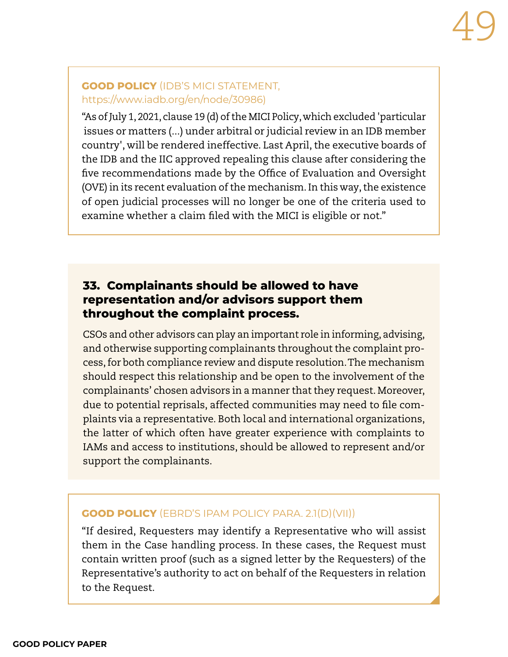#### **GOOD POLICY** (IDB'S MICI STATEMENT, [https://www.iadb.org/en/node/30986\)](https://www.iadb.org/en/node/30986)

"As of July 1, 2021, clause 19 (d) of the MICI Policy, which excluded 'particular issues or matters (...) under arbitral or judicial review in an IDB member country', will be rendered ineffective. Last April, the executive boards of the IDB and the IIC approved repealing this clause after considering the five recommendations made by the Office of Evaluation and Oversight (OVE) in its recent evaluation of the mechanism. In this way, the existence of open judicial processes will no longer be one of the criteria used to examine whether a claim filed with the MICI is eligible or not."

# **33. Complainants should be allowed to have representation and/or advisors support them throughout the complaint process.**

CSOs and other advisors can play an important role in informing, advising, and otherwise supporting complainants throughout the complaint process, for both compliance review and dispute resolution. The mechanism should respect this relationship and be open to the involvement of the complainants' chosen advisors in a manner that they request. Moreover, due to potential reprisals, affected communities may need to file complaints via a representative. Both local and international organizations, the latter of which often have greater experience with complaints to IAMs and access to institutions, should be allowed to represent and/or support the complainants.

#### **GOOD POLICY** (EBRD'S IPAM POLICY PARA. 2.1(D)(VII))

"If desired, Requesters may identify a Representative who will assist them in the Case handling process. In these cases, the Request must contain written proof (such as a signed letter by the Requesters) of the Representative's authority to act on behalf of the Requesters in relation to the Request.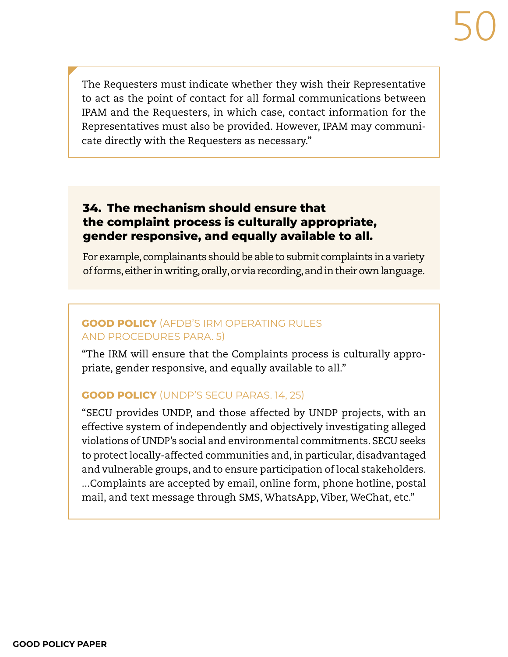The Requesters must indicate whether they wish their Representative to act as the point of contact for all formal communications between IPAM and the Requesters, in which case, contact information for the Representatives must also be provided. However, IPAM may communicate directly with the Requesters as necessary."

## **34. The mechanism should ensure that the complaint process is culturally appropriate, gender responsive, and equally available to all.**

For example, complainants should be able to submit complaints in a variety of forms, either in writing, orally, or via recording, and in their own language.

## **GOOD POLICY** (AFDB'S IRM OPERATING RULES AND PROCEDURES PARA. 5)

"The IRM will ensure that the Complaints process is culturally appropriate, gender responsive, and equally available to all."

## **GOOD POLICY** (UNDP'S SECU PARAS. 14, 25)

"SECU provides UNDP, and those affected by UNDP projects, with an effective system of independently and objectively investigating alleged violations of UNDP's social and environmental commitments. SECU seeks to protect locally-affected communities and, in particular, disadvantaged and vulnerable groups, and to ensure participation of local stakeholders. ...Complaints are accepted by email, online form, phone hotline, postal mail, and text message through SMS, WhatsApp, Viber, WeChat, etc."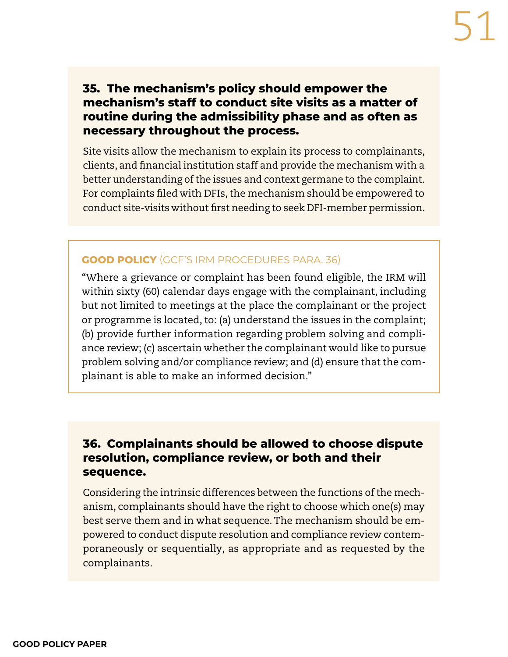# **35. The mechanism's policy should empower the mechanism's staff to conduct site visits as a matter of routine during the admissibility phase and as often as necessary throughout the process.**

Site visits allow the mechanism to explain its process to complainants, clients, and financial institution staff and provide the mechanism with a better understanding of the issues and context germane to the complaint. For complaints filed with DFIs, the mechanism should be empowered to conduct site-visits without first needing to seek DFI-member permission.

#### **GOOD POLICY** (GCF'S IRM PROCEDURES PARA. 36)

"Where a grievance or complaint has been found eligible, the IRM will within sixty (60) calendar days engage with the complainant, including but not limited to meetings at the place the complainant or the project or programme is located, to: (a) understand the issues in the complaint; (b) provide further information regarding problem solving and compliance review; (c) ascertain whether the complainant would like to pursue problem solving and/or compliance review; and (d) ensure that the complainant is able to make an informed decision."

## **36. Complainants should be allowed to choose dispute resolution, compliance review, or both and their sequence.**

Considering the intrinsic differences between the functions of the mechanism, complainants should have the right to choose which one(s) may best serve them and in what sequence. The mechanism should be empowered to conduct dispute resolution and compliance review contemporaneously or sequentially, as appropriate and as requested by the complainants.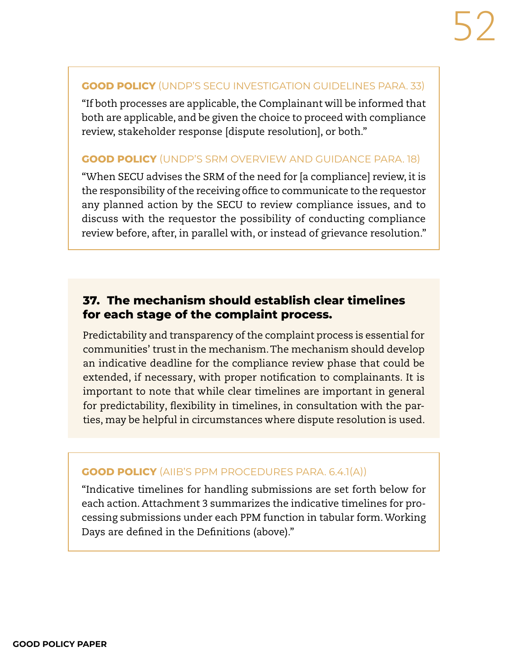#### **GOOD POLICY** (UNDP'S SECU INVESTIGATION GUIDELINES PARA. 33)

"If both processes are applicable, the Complainant will be informed that both are applicable, and be given the choice to proceed with compliance review, stakeholder response [dispute resolution], or both."

#### **GOOD POLICY** (UNDP'S SRM OVERVIEW AND GUIDANCE PARA. 18)

"When SECU advises the SRM of the need for [a compliance] review, it is the responsibility of the receiving office to communicate to the requestor any planned action by the SECU to review compliance issues, and to discuss with the requestor the possibility of conducting compliance review before, after, in parallel with, or instead of grievance resolution."

# **37. The mechanism should establish clear timelines for each stage of the complaint process.**

Predictability and transparency of the complaint process is essential for communities' trust in the mechanism. The mechanism should develop an indicative deadline for the compliance review phase that could be extended, if necessary, with proper notification to complainants. It is important to note that while clear timelines are important in general for predictability, flexibility in timelines, in consultation with the parties, may be helpful in circumstances where dispute resolution is used.

#### **GOOD POLICY** (AIIB'S PPM PROCEDURES PARA. 6.4.1(A))

"Indicative timelines for handling submissions are set forth below for each action. Attachment 3 summarizes the indicative timelines for processing submissions under each PPM function in tabular form. Working Days are defined in the Definitions (above)."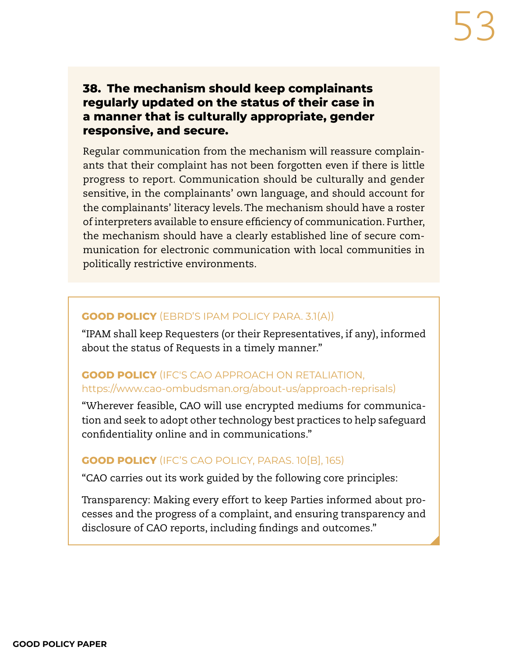## **38. The mechanism should keep complainants regularly updated on the status of their case in a manner that is culturally appropriate, gender responsive, and secure.**

Regular communication from the mechanism will reassure complainants that their complaint has not been forgotten even if there is little progress to report. Communication should be culturally and gender sensitive, in the complainants' own language, and should account for the complainants' literacy levels. The mechanism should have a roster of interpreters available to ensure efficiency of communication. Further, the mechanism should have a clearly established line of secure communication for electronic communication with local communities in politically restrictive environments.

#### **GOOD POLICY** (EBRD'S IPAM POLICY PARA. 3.1(A))

"IPAM shall keep Requesters (or their Representatives, if any), informed about the status of Requests in a timely manner."

#### **GOOD POLICY** (IFC'S CAO APPROACH ON RETALIATION, https://www.cao-ombudsman.org/about-us/approach-reprisals)

"Wherever feasible, CAO will use encrypted mediums for communication and seek to adopt other technology best practices to help safeguard confidentiality online and in communications."

#### **GOOD POLICY** (IFC'S CAO POLICY, PARAS. 10[B], 165)

"CAO carries out its work guided by the following core principles:

Transparency: Making every effort to keep Parties informed about processes and the progress of a complaint, and ensuring transparency and disclosure of CAO reports, including findings and outcomes."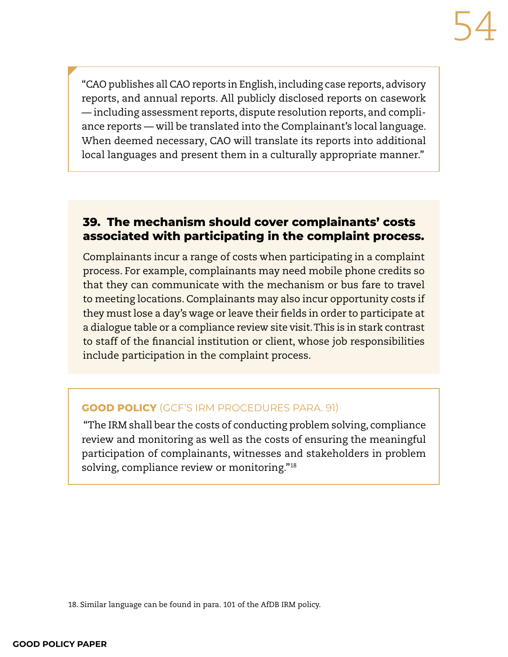"CAO publishes all CAO reports in English, including case reports, advisory reports, and annual reports. All publicly disclosed reports on casework — including assessment reports, dispute resolution reports, and compliance reports — will be translated into the Complainant's local language. When deemed necessary, CAO will translate its reports into additional local languages and present them in a culturally appropriate manner."

# **39. The mechanism should cover complainants' costs associated with participating in the complaint process.**

Complainants incur a range of costs when participating in a complaint process. For example, complainants may need mobile phone credits so that they can communicate with the mechanism or bus fare to travel to meeting locations. Complainants may also incur opportunity costs if they must lose a day's wage or leave their fields in order to participate at a dialogue table or a compliance review site visit. This is in stark contrast to staff of the financial institution or client, whose job responsibilities include participation in the complaint process.

#### **GOOD POLICY** (GCF'S IRM PROCEDURES PARA. 91)

 "The IRM shall bear the costs of conducting problem solving, compliance review and monitoring as well as the costs of ensuring the meaningful participation of complainants, witnesses and stakeholders in problem solving, compliance review or monitoring."18

<sup>18.</sup> Similar language can be found in para. 101 of the AfDB IRM policy.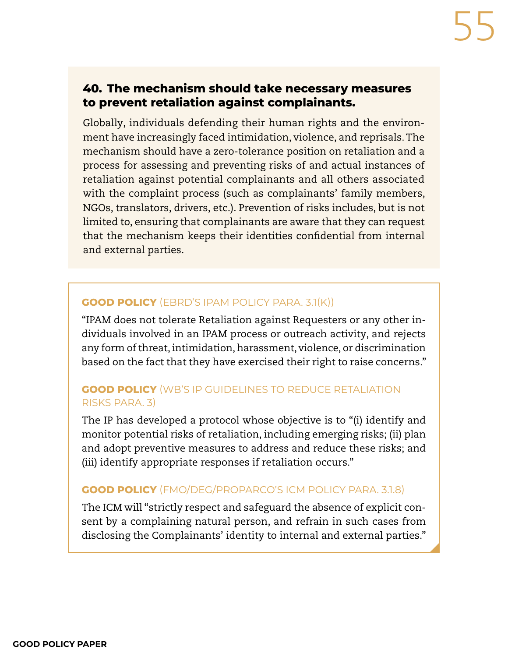## **40. The mechanism should take necessary measures to prevent retaliation against complainants.**

Globally, individuals defending their human rights and the environment have increasingly faced intimidation, violence, and reprisals. The mechanism should have a zero-tolerance position on retaliation and a process for assessing and preventing risks of and actual instances of retaliation against potential complainants and all others associated with the complaint process (such as complainants' family members, NGOs, translators, drivers, etc.). Prevention of risks includes, but is not limited to, ensuring that complainants are aware that they can request that the mechanism keeps their identities confidential from internal and external parties.

#### **GOOD POLICY** (EBRD'S IPAM POLICY PARA. 3.1(K))

"IPAM does not tolerate Retaliation against Requesters or any other individuals involved in an IPAM process or outreach activity, and rejects any form of threat, intimidation, harassment, violence, or discrimination based on the fact that they have exercised their right to raise concerns."

### **GOOD POLICY** (WB'S IP GUIDELINES TO REDUCE RETALIATION RISKS PARA. 3)

The IP has developed a protocol whose objective is to "(i) identify and monitor potential risks of retaliation, including emerging risks; (ii) plan and adopt preventive measures to address and reduce these risks; and (iii) identify appropriate responses if retaliation occurs."

#### **GOOD POLICY** (FMO/DEG/PROPARCO'S ICM POLICY PARA. 3.1.8)

The ICM will "strictly respect and safeguard the absence of explicit consent by a complaining natural person, and refrain in such cases from disclosing the Complainants' identity to internal and external parties."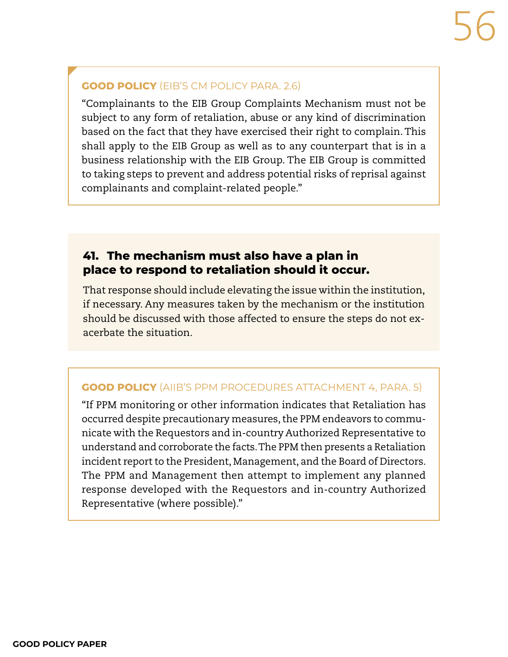### **GOOD POLICY** (EIB'S CM POLICY PARA. 2.6)

"Complainants to the EIB Group Complaints Mechanism must not be subject to any form of retaliation, abuse or any kind of discrimination based on the fact that they have exercised their right to complain. This shall apply to the EIB Group as well as to any counterpart that is in a business relationship with the EIB Group. The EIB Group is committed to taking steps to prevent and address potential risks of reprisal against complainants and complaint-related people."

## **41. The mechanism must also have a plan in place to respond to retaliation should it occur.**

That response should include elevating the issue within the institution, if necessary. Any measures taken by the mechanism or the institution should be discussed with those affected to ensure the steps do not exacerbate the situation.

#### **GOOD POLICY** (AIIB'S PPM PROCEDURES ATTACHMENT 4, PARA. 5)

"If PPM monitoring or other information indicates that Retaliation has occurred despite precautionary measures, the PPM endeavors to communicate with the Requestors and in-country Authorized Representative to understand and corroborate the facts. The PPM then presents a Retaliation incident report to the President, Management, and the Board of Directors. The PPM and Management then attempt to implement any planned response developed with the Requestors and in-country Authorized Representative (where possible)."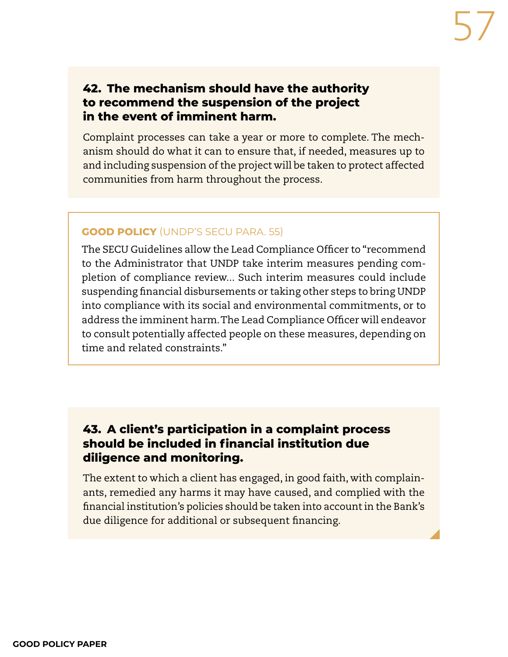## **42. The mechanism should have the authority to recommend the suspension of the project in the event of imminent harm.**

Complaint processes can take a year or more to complete. The mechanism should do what it can to ensure that, if needed, measures up to and including suspension of the project will be taken to protect affected communities from harm throughout the process.

#### **GOOD POLICY** (UNDP'S SECU PARA. 55)

The SECU Guidelines allow the Lead Compliance Officer to "recommend to the Administrator that UNDP take interim measures pending completion of compliance review... Such interim measures could include suspending financial disbursements or taking other steps to bring UNDP into compliance with its social and environmental commitments, or to address the imminent harm. The Lead Compliance Officer will endeavor to consult potentially affected people on these measures, depending on time and related constraints."

## **43. A client's participation in a complaint process should be included in financial institution due diligence and monitoring.**

The extent to which a client has engaged, in good faith, with complainants, remedied any harms it may have caused, and complied with the financial institution's policies should be taken into account in the Bank's due diligence for additional or subsequent financing.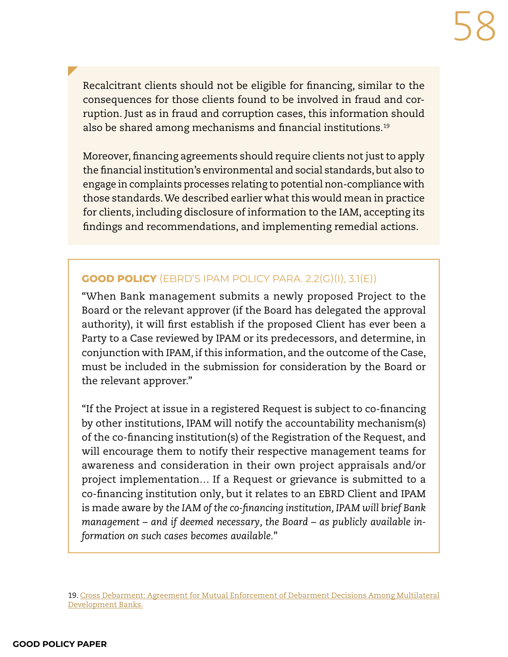Recalcitrant clients should not be eligible for financing, similar to the consequences for those clients found to be involved in fraud and corruption. Just as in fraud and corruption cases, this information should also be shared among mechanisms and financial institutions.19

Moreover, financing agreements should require clients not just to apply the financial institution's environmental and social standards, but also to engage in complaints processes relating to potential non-compliance with those standards. We described earlier what this would mean in practice for clients, including disclosure of information to the IAM, accepting its findings and recommendations, and implementing remedial actions.

### **GOOD POLICY** (EBRD'S IPAM POLICY PARA. 2.2(G)(I), 3.1(E))

"When Bank management submits a newly proposed Project to the Board or the relevant approver (if the Board has delegated the approval authority), it will first establish if the proposed Client has ever been a Party to a Case reviewed by IPAM or its predecessors, and determine, in conjunction with IPAM, if this information, and the outcome of the Case, must be included in the submission for consideration by the Board or the relevant approver."

"If the Project at issue in a registered Request is subject to co-financing by other institutions, IPAM will notify the accountability mechanism(s) of the co-financing institution(s) of the Registration of the Request, and will encourage them to notify their respective management teams for awareness and consideration in their own project appraisals and/or project implementation… If a Request or grievance is submitted to a co-financing institution only, but it relates to an EBRD Client and IPAM is made aware *by the IAM of the co-financing institution, IPAM will brief Bank management – and if deemed necessary, the Board – as publicly available information on such cases becomes available.*"

<sup>19.</sup> [Cross Debarment: Agreement for Mutual Enforcement of Debarment Decisions Among Multilateral](https://lnadbg4.adb.org/oai001p.nsf/Home.xsp)  [Development Banks](https://lnadbg4.adb.org/oai001p.nsf/Home.xsp).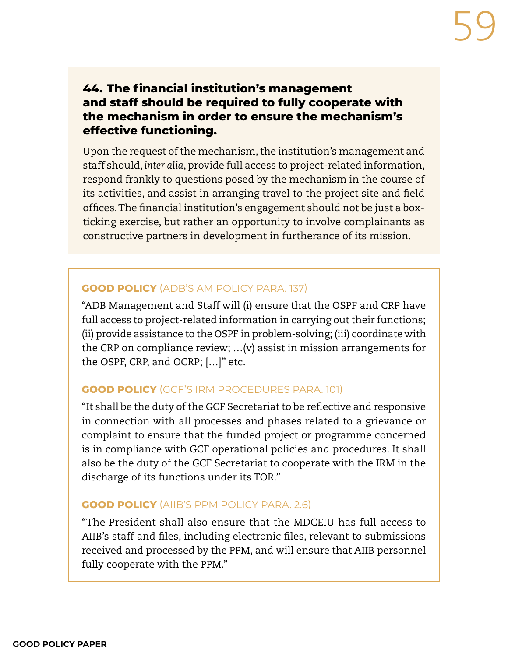# **44. The financial institution's management and staff should be required to fully cooperate with the mechanism in order to ensure the mechanism's effective functioning.**

Upon the request of the mechanism, the institution's management and staff should, *inter alia*, provide full access to project-related information, respond frankly to questions posed by the mechanism in the course of its activities, and assist in arranging travel to the project site and field offices. The financial institution's engagement should not be just a boxticking exercise, but rather an opportunity to involve complainants as constructive partners in development in furtherance of its mission.

#### **GOOD POLICY** (ADB'S AM POLICY PARA. 137)

"ADB Management and Staff will (i) ensure that the OSPF and CRP have full access to project-related information in carrying out their functions; (ii) provide assistance to the OSPF in problem-solving; (iii) coordinate with the CRP on compliance review; …(v) assist in mission arrangements for the OSPF, CRP, and OCRP; […]" etc.

## **GOOD POLICY** (GCF'S IRM PROCEDURES PARA. 101)

"It shall be the duty of the GCF Secretariat to be reflective and responsive in connection with all processes and phases related to a grievance or complaint to ensure that the funded project or programme concerned is in compliance with GCF operational policies and procedures. It shall also be the duty of the GCF Secretariat to cooperate with the IRM in the discharge of its functions under its TOR."

#### **GOOD POLICY** (AIIB'S PPM POLICY PARA. 2.6)

"The President shall also ensure that the MDCEIU has full access to AIIB's staff and files, including electronic files, relevant to submissions received and processed by the PPM, and will ensure that AIIB personnel fully cooperate with the PPM."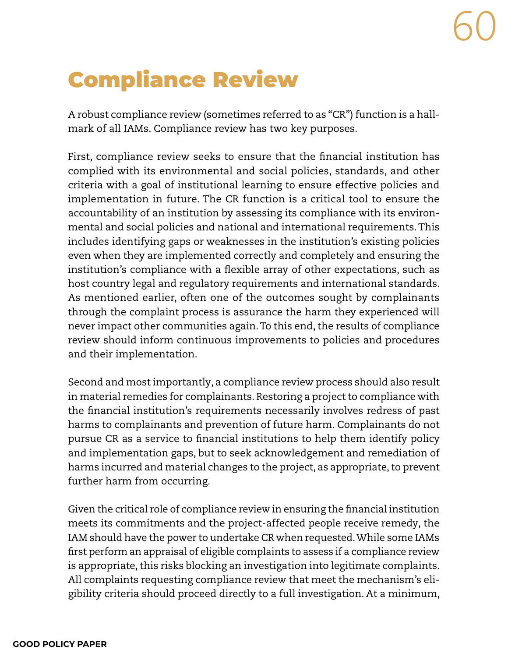# Compliance Review

A robust compliance review (sometimes referred to as "CR") function is a hallmark of all IAMs. Compliance review has two key purposes.

First, compliance review seeks to ensure that the financial institution has complied with its environmental and social policies, standards, and other criteria with a goal of institutional learning to ensure effective policies and implementation in future. The CR function is a critical tool to ensure the accountability of an institution by assessing its compliance with its environmental and social policies and national and international requirements. This includes identifying gaps or weaknesses in the institution's existing policies even when they are implemented correctly and completely and ensuring the institution's compliance with a flexible array of other expectations, such as host country legal and regulatory requirements and international standards. As mentioned earlier, often one of the outcomes sought by complainants through the complaint process is assurance the harm they experienced will never impact other communities again. To this end, the results of compliance review should inform continuous improvements to policies and procedures and their implementation.

Second and most importantly, a compliance review process should also result in material remedies for complainants. Restoring a project to compliance with the financial institution's requirements necessarily involves redress of past harms to complainants and prevention of future harm. Complainants do not pursue CR as a service to financial institutions to help them identify policy and implementation gaps, but to seek acknowledgement and remediation of harms incurred and material changes to the project, as appropriate, to prevent further harm from occurring.

Given the critical role of compliance review in ensuring the financial institution meets its commitments and the project-affected people receive remedy, the IAM should have the power to undertake CR when requested. While some IAMs first perform an appraisal of eligible complaints to assess if a compliance review is appropriate, this risks blocking an investigation into legitimate complaints. All complaints requesting compliance review that meet the mechanism's eligibility criteria should proceed directly to a full investigation. At a minimum,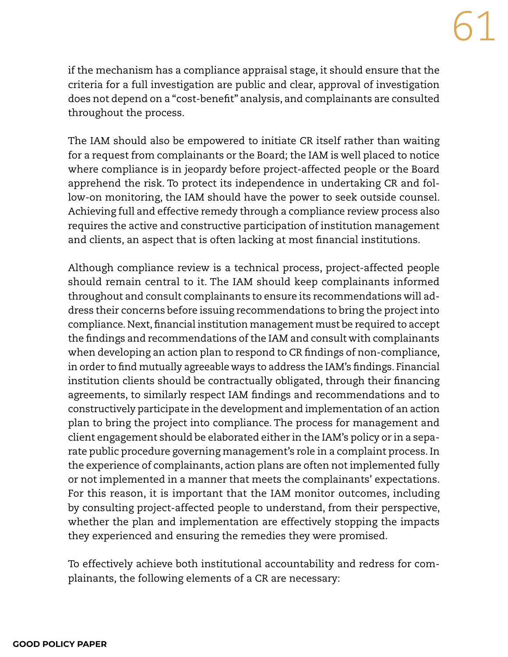if the mechanism has a compliance appraisal stage, it should ensure that the criteria for a full investigation are public and clear, approval of investigation does not depend on a "cost-benefit" analysis, and complainants are consulted throughout the process.

The IAM should also be empowered to initiate CR itself rather than waiting for a request from complainants or the Board; the IAM is well placed to notice where compliance is in jeopardy before project-affected people or the Board apprehend the risk. To protect its independence in undertaking CR and follow-on monitoring, the IAM should have the power to seek outside counsel. Achieving full and effective remedy through a compliance review process also requires the active and constructive participation of institution management and clients, an aspect that is often lacking at most financial institutions.

Although compliance review is a technical process, project-affected people should remain central to it. The IAM should keep complainants informed throughout and consult complainants to ensure its recommendations will address their concerns before issuing recommendations to bring the project into compliance. Next, financial institution management must be required to accept the findings and recommendations of the IAM and consult with complainants when developing an action plan to respond to CR findings of non-compliance, in order to find mutually agreeable ways to address the IAM's findings. Financial institution clients should be contractually obligated, through their financing agreements, to similarly respect IAM findings and recommendations and to constructively participate in the development and implementation of an action plan to bring the project into compliance. The process for management and client engagement should be elaborated either in the IAM's policy or in a separate public procedure governing management's role in a complaint process. In the experience of complainants, action plans are often not implemented fully or not implemented in a manner that meets the complainants' expectations. For this reason, it is important that the IAM monitor outcomes, including by consulting project-affected people to understand, from their perspective, whether the plan and implementation are effectively stopping the impacts they experienced and ensuring the remedies they were promised.

To effectively achieve both institutional accountability and redress for complainants, the following elements of a CR are necessary: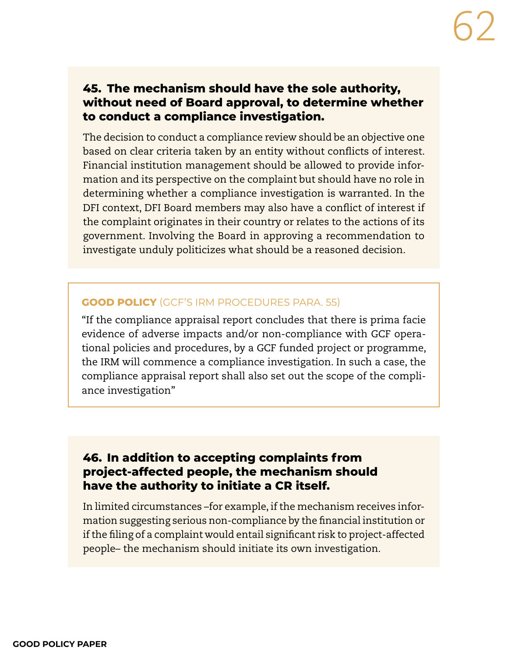## **45. The mechanism should have the sole authority, without need of Board approval, to determine whether to conduct a compliance investigation.**

The decision to conduct a compliance review should be an objective one based on clear criteria taken by an entity without conflicts of interest. Financial institution management should be allowed to provide information and its perspective on the complaint but should have no role in determining whether a compliance investigation is warranted. In the DFI context, DFI Board members may also have a conflict of interest if the complaint originates in their country or relates to the actions of its government. Involving the Board in approving a recommendation to investigate unduly politicizes what should be a reasoned decision.

#### **GOOD POLICY** (GCF'S IRM PROCEDURES PARA. 55)

"If the compliance appraisal report concludes that there is prima facie evidence of adverse impacts and/or non-compliance with GCF operational policies and procedures, by a GCF funded project or programme, the IRM will commence a compliance investigation. In such a case, the compliance appraisal report shall also set out the scope of the compliance investigation"

## **46. In addition to accepting complaints from project-affected people, the mechanism should have the authority to initiate a CR itself.**

In limited circumstances –for example, if the mechanism receives information suggesting serious non-compliance by the financial institution or if the filing of a complaint would entail significant risk to project-affected people– the mechanism should initiate its own investigation.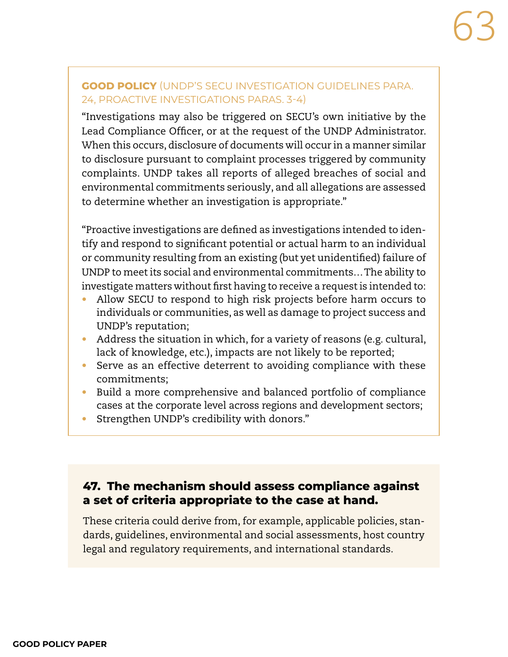### **GOOD POLICY** (UNDP'S SECU INVESTIGATION GUIDELINES PARA. 24, PROACTIVE INVESTIGATIONS PARAS. 3-4)

"Investigations may also be triggered on SECU's own initiative by the Lead Compliance Officer, or at the request of the UNDP Administrator. When this occurs, disclosure of documents will occur in a manner similar to disclosure pursuant to complaint processes triggered by community complaints. UNDP takes all reports of alleged breaches of social and environmental commitments seriously, and all allegations are assessed to determine whether an investigation is appropriate."

"Proactive investigations are defined as investigations intended to identify and respond to significant potential or actual harm to an individual or community resulting from an existing (but yet unidentified) failure of UNDP to meet its social and environmental commitments… The ability to investigate matters without first having to receive a request is intended to:

- **•** Allow SECU to respond to high risk projects before harm occurs to individuals or communities, as well as damage to project success and UNDP's reputation;
- **•** Address the situation in which, for a variety of reasons (e.g. cultural, lack of knowledge, etc.), impacts are not likely to be reported;
- **•** Serve as an effective deterrent to avoiding compliance with these commitments;
- **•** Build a more comprehensive and balanced portfolio of compliance cases at the corporate level across regions and development sectors;
- **•** Strengthen UNDP's credibility with donors."

# **47. The mechanism should assess compliance against a set of criteria appropriate to the case at hand.**

These criteria could derive from, for example, applicable policies, standards, guidelines, environmental and social assessments, host country legal and regulatory requirements, and international standards.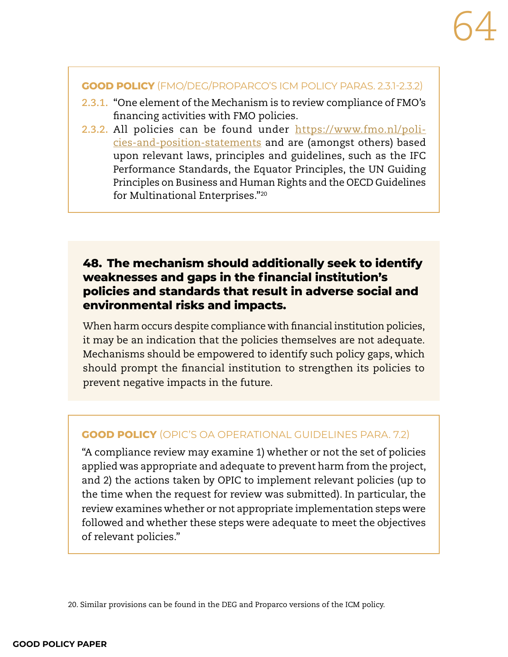#### **GOOD POLICY** (FMO/DEG/PROPARCO'S ICM POLICY PARAS. 2.3.1-2.3.2)

- **2.3.1.** "One element of the Mechanism is to review compliance of FMO's financing activities with FMO policies.
- **2.3.2.** All policies can be found under [https://www.fmo.nl/poli](https://www.fmo.nl/policies-and-position-statements)[cies-and-position-statements](https://www.fmo.nl/policies-and-position-statements) and are (amongst others) based upon relevant laws, principles and guidelines, such as the IFC Performance Standards, the Equator Principles, the UN Guiding Principles on Business and Human Rights and the OECD Guidelines for Multinational Enterprises."20

# **48. The mechanism should additionally seek to identify weaknesses and gaps in the financial institution's policies and standards that result in adverse social and environmental risks and impacts.**

When harm occurs despite compliance with financial institution policies, it may be an indication that the policies themselves are not adequate. Mechanisms should be empowered to identify such policy gaps, which should prompt the financial institution to strengthen its policies to prevent negative impacts in the future.

## **GOOD POLICY** (OPIC'S OA OPERATIONAL GUIDELINES PARA. 7.2)

"A compliance review may examine 1) whether or not the set of policies applied was appropriate and adequate to prevent harm from the project, and 2) the actions taken by OPIC to implement relevant policies (up to the time when the request for review was submitted). In particular, the review examines whether or not appropriate implementation steps were followed and whether these steps were adequate to meet the objectives of relevant policies."

20. Similar provisions can be found in the DEG and Proparco versions of the ICM policy.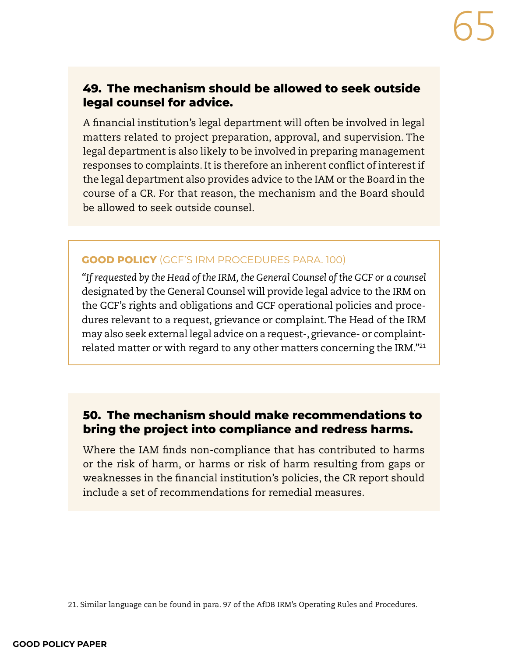## **49. The mechanism should be allowed to seek outside legal counsel for advice.**

A financial institution's legal department will often be involved in legal matters related to project preparation, approval, and supervision. The legal department is also likely to be involved in preparing management responses to complaints. It is therefore an inherent conflict of interest if the legal department also provides advice to the IAM or the Board in the course of a CR. For that reason, the mechanism and the Board should be allowed to seek outside counsel.

#### **GOOD POLICY** (GCF'S IRM PROCEDURES PARA. 100)

*"If requested by the Head of the IRM, the General Counsel of the GCF or a counsel* designated by the General Counsel will provide legal advice to the IRM on the GCF's rights and obligations and GCF operational policies and procedures relevant to a request, grievance or complaint. The Head of the IRM may also seek external legal advice on a request-, grievance- or complaintrelated matter or with regard to any other matters concerning the IRM."21

## **50. The mechanism should make recommendations to bring the project into compliance and redress harms.**

Where the IAM finds non-compliance that has contributed to harms or the risk of harm, or harms or risk of harm resulting from gaps or weaknesses in the financial institution's policies, the CR report should include a set of recommendations for remedial measures.

<sup>21.</sup> Similar language can be found in para. 97 of the AfDB IRM's Operating Rules and Procedures.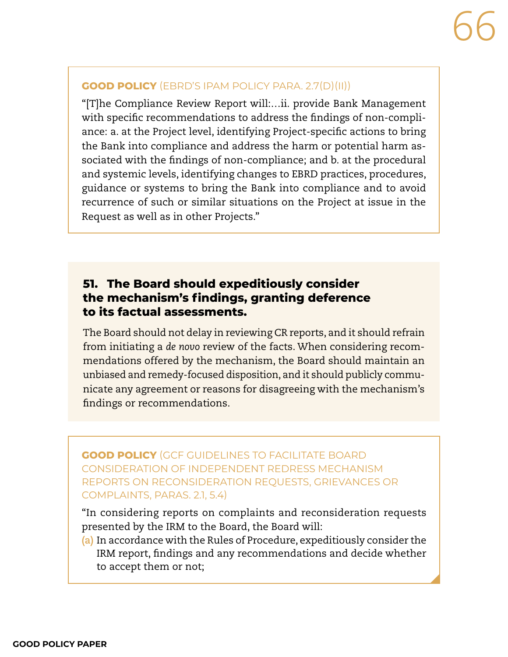#### **GOOD POLICY** (EBRD'S IPAM POLICY PARA. 2.7(D)(II))

"[T]he Compliance Review Report will:…ii. provide Bank Management with specific recommendations to address the findings of non-compliance: a. at the Project level, identifying Project-specific actions to bring the Bank into compliance and address the harm or potential harm associated with the findings of non-compliance; and b. at the procedural and systemic levels, identifying changes to EBRD practices, procedures, guidance or systems to bring the Bank into compliance and to avoid recurrence of such or similar situations on the Project at issue in the Request as well as in other Projects."

# **51. The Board should expeditiously consider the mechanism's findings, granting deference to its factual assessments.**

The Board should not delay in reviewing CR reports, and it should refrain from initiating a *de novo* review of the facts. When considering recommendations offered by the mechanism, the Board should maintain an unbiased and remedy-focused disposition, and it should publicly communicate any agreement or reasons for disagreeing with the mechanism's findings or recommendations.

**GOOD POLICY** (GCF GUIDELINES TO FACILITATE BOARD CONSIDERATION OF INDEPENDENT REDRESS MECHANISM REPORTS ON RECONSIDERATION REQUESTS, GRIEVANCES OR COMPLAINTS, PARAS. 2.1, 5.4)

"In considering reports on complaints and reconsideration requests presented by the IRM to the Board, the Board will:

**(a)** In accordance with the Rules of Procedure, expeditiously consider the IRM report, findings and any recommendations and decide whether to accept them or not;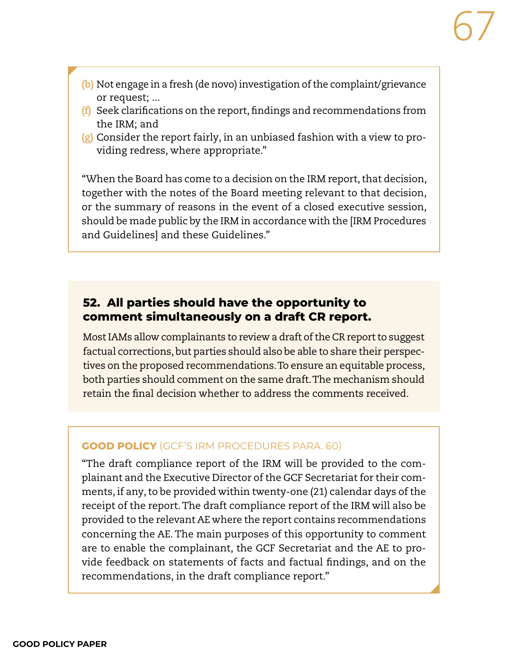- **(b)** Not engage in a fresh (de novo) investigation of the complaint/grievance or request; ...
- **(f)** Seek clarifications on the report, findings and recommendations from the IRM; and
- **(g)** Consider the report fairly, in an unbiased fashion with a view to providing redress, where appropriate."

"When the Board has come to a decision on the IRM report, that decision, together with the notes of the Board meeting relevant to that decision, or the summary of reasons in the event of a closed executive session, should be made public by the IRM in accordance with the [IRM Procedures and Guidelines] and these Guidelines."

# **52. All parties should have the opportunity to comment simultaneously on a draft CR report.**

Most IAMs allow complainants to review a draft of the CR report to suggest factual corrections, but parties should also be able to share their perspectives on the proposed recommendations. To ensure an equitable process, both parties should comment on the same draft. The mechanism should retain the final decision whether to address the comments received.

## **GOOD POLICY** (GCF'S IRM PROCEDURES PARA. 60)

"The draft compliance report of the IRM will be provided to the complainant and the Executive Director of the GCF Secretariat for their comments, if any, to be provided within twenty-one (21) calendar days of the receipt of the report. The draft compliance report of the IRM will also be provided to the relevant AE where the report contains recommendations concerning the AE. The main purposes of this opportunity to comment are to enable the complainant, the GCF Secretariat and the AE to provide feedback on statements of facts and factual findings, and on the recommendations, in the draft compliance report."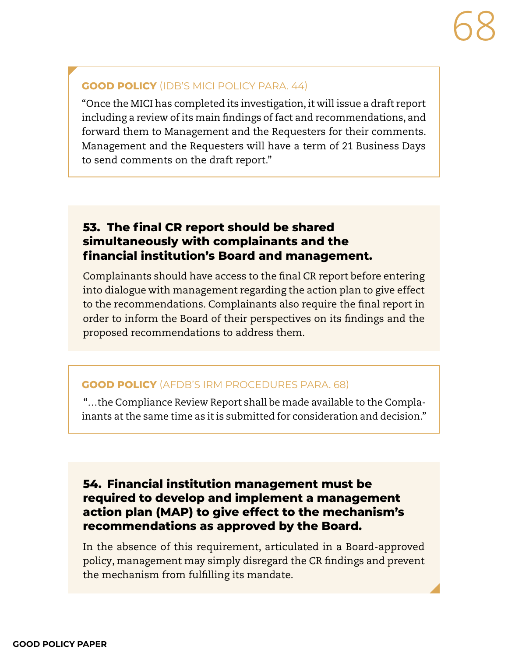#### **GOOD POLICY** (IDB'S MICI POLICY PARA. 44)

"Once the MICI has completed its investigation, it will issue a draft report including a review of its main findings of fact and recommendations, and forward them to Management and the Requesters for their comments. Management and the Requesters will have a term of 21 Business Days to send comments on the draft report."

## **53. The final CR report should be shared simultaneously with complainants and the financial institution's Board and management.**

Complainants should have access to the final CR report before entering into dialogue with management regarding the action plan to give effect to the recommendations. Complainants also require the final report in order to inform the Board of their perspectives on its findings and the proposed recommendations to address them.

#### **GOOD POLICY** (AFDB'S IRM PROCEDURES PARA. 68)

 "…the Compliance Review Report shall be made available to the Complainants at the same time as it is submitted for consideration and decision."

# **54. Financial institution management must be required to develop and implement a management action plan (MAP) to give effect to the mechanism's recommendations as approved by the Board.**

In the absence of this requirement, articulated in a Board-approved policy, management may simply disregard the CR findings and prevent the mechanism from fulfilling its mandate.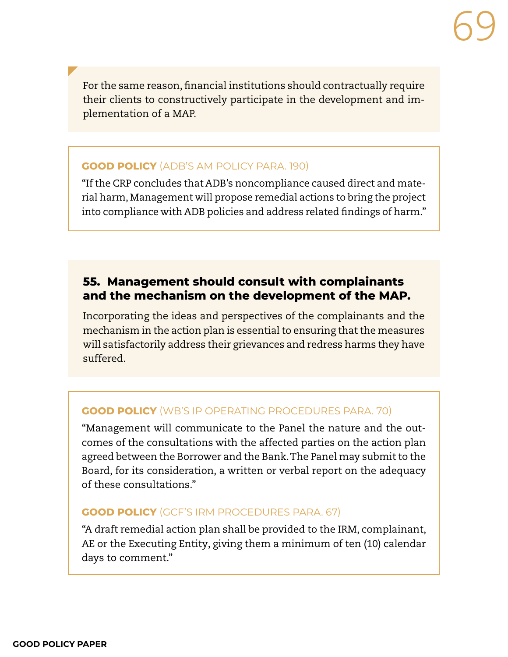For the same reason, financial institutions should contractually require their clients to constructively participate in the development and implementation of a MAP.

#### **GOOD POLICY** (ADB'S AM POLICY PARA. 190)

"If the CRP concludes that ADB's noncompliance caused direct and material harm, Management will propose remedial actions to bring the project into compliance with ADB policies and address related findings of harm."

# **55. Management should consult with complainants and the mechanism on the development of the MAP.**

Incorporating the ideas and perspectives of the complainants and the mechanism in the action plan is essential to ensuring that the measures will satisfactorily address their grievances and redress harms they have suffered.

#### **GOOD POLICY** (WB'S IP OPERATING PROCEDURES PARA. 70)

"Management will communicate to the Panel the nature and the outcomes of the consultations with the affected parties on the action plan agreed between the Borrower and the Bank. The Panel may submit to the Board, for its consideration, a written or verbal report on the adequacy of these consultations."

#### **GOOD POLICY** (GCF'S IRM PROCEDURES PARA. 67)

"A draft remedial action plan shall be provided to the IRM, complainant, AE or the Executing Entity, giving them a minimum of ten (10) calendar days to comment."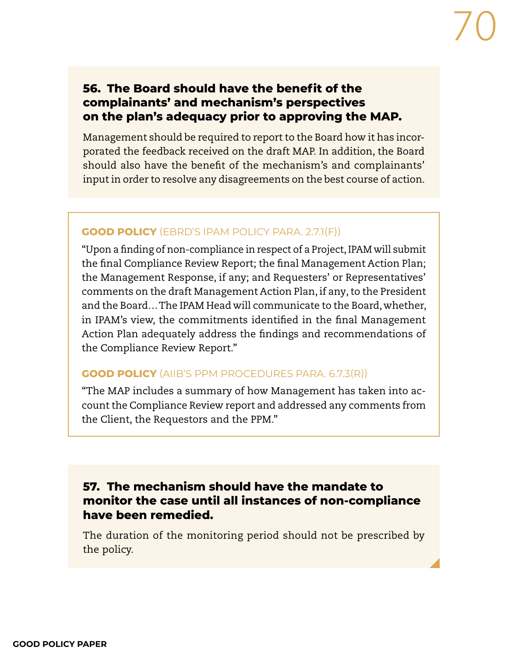## **56. The Board should have the benefit of the complainants' and mechanism's perspectives on the plan's adequacy prior to approving the MAP.**

Management should be required to report to the Board how it has incorporated the feedback received on the draft MAP. In addition, the Board should also have the benefit of the mechanism's and complainants' input in order to resolve any disagreements on the best course of action.

#### **GOOD POLICY** (EBRD'S IPAM POLICY PARA. 2.7.1(F))

"Upon a finding of non-compliance in respect of a Project, IPAM will submit the final Compliance Review Report; the final Management Action Plan; the Management Response, if any; and Requesters' or Representatives' comments on the draft Management Action Plan, if any, to the President and the Board… The IPAM Head will communicate to the Board, whether, in IPAM's view, the commitments identified in the final Management Action Plan adequately address the findings and recommendations of the Compliance Review Report."

#### **GOOD POLICY** (AIIB'S PPM PROCEDURES PARA. 6.7.3(R))

"The MAP includes a summary of how Management has taken into account the Compliance Review report and addressed any comments from the Client, the Requestors and the PPM."

## **57. The mechanism should have the mandate to monitor the case until all instances of non-compliance have been remedied.**

The duration of the monitoring period should not be prescribed by the policy.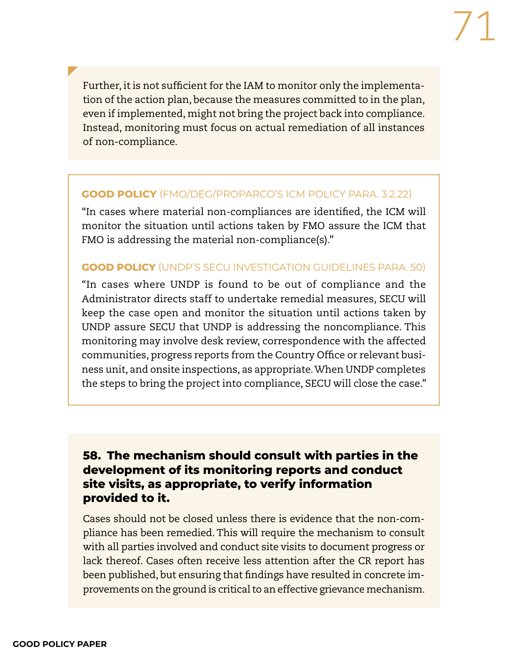Further, it is not sufficient for the IAM to monitor only the implementation of the action plan, because the measures committed to in the plan, even if implemented, might not bring the project back into compliance. Instead, monitoring must focus on actual remediation of all instances of non-compliance.

#### **GOOD POLICY** (FMO/DEG/PROPARCO'S ICM POLICY PARA. 3.2.22)

"In cases where material non-compliances are identified, the ICM will monitor the situation until actions taken by FMO assure the ICM that FMO is addressing the material non-compliance(s)."

#### **GOOD POLICY** (UNDP'S SECU INVESTIGATION GUIDELINES PARA. 50)

"In cases where UNDP is found to be out of compliance and the Administrator directs staff to undertake remedial measures, SECU will keep the case open and monitor the situation until actions taken by UNDP assure SECU that UNDP is addressing the noncompliance. This monitoring may involve desk review, correspondence with the affected communities, progress reports from the Country Office or relevant business unit, and onsite inspections, as appropriate. When UNDP completes the steps to bring the project into compliance, SECU will close the case."

## **58. The mechanism should consult with parties in the development of its monitoring reports and conduct site visits, as appropriate, to verify information provided to it.**

Cases should not be closed unless there is evidence that the non-compliance has been remedied. This will require the mechanism to consult with all parties involved and conduct site visits to document progress or lack thereof. Cases often receive less attention after the CR report has been published, but ensuring that findings have resulted in concrete improvements on the ground is critical to an effective grievance mechanism.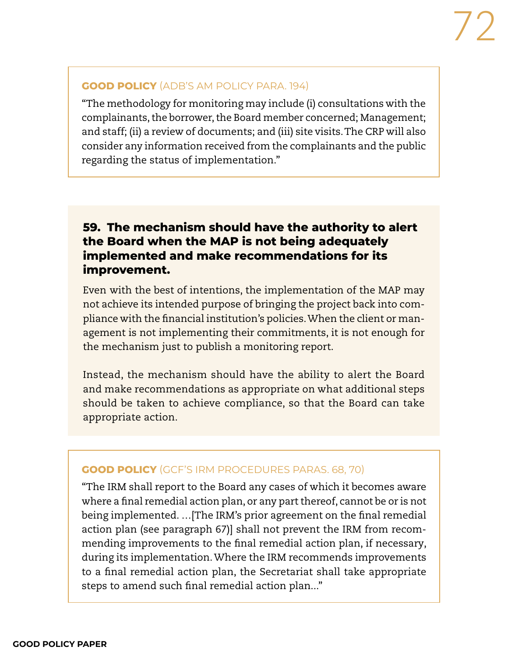#### **GOOD POLICY** (ADB'S AM POLICY PARA. 194)

"The methodology for monitoring may include (i) consultations with the complainants, the borrower, the Board member concerned; Management; and staff; (ii) a review of documents; and (iii) site visits. The CRP will also consider any information received from the complainants and the public regarding the status of implementation."

# **59. The mechanism should have the authority to alert the Board when the MAP is not being adequately implemented and make recommendations for its improvement.**

Even with the best of intentions, the implementation of the MAP may not achieve its intended purpose of bringing the project back into compliance with the financial institution's policies. When the client or management is not implementing their commitments, it is not enough for the mechanism just to publish a monitoring report.

Instead, the mechanism should have the ability to alert the Board and make recommendations as appropriate on what additional steps should be taken to achieve compliance, so that the Board can take appropriate action.

#### **GOOD POLICY** (GCF'S IRM PROCEDURES PARAS. 68, 70)

"The IRM shall report to the Board any cases of which it becomes aware where a final remedial action plan, or any part thereof, cannot be or is not being implemented. …[The IRM's prior agreement on the final remedial action plan (see paragraph 67)] shall not prevent the IRM from recommending improvements to the final remedial action plan, if necessary, during its implementation. Where the IRM recommends improvements to a final remedial action plan, the Secretariat shall take appropriate steps to amend such final remedial action plan..."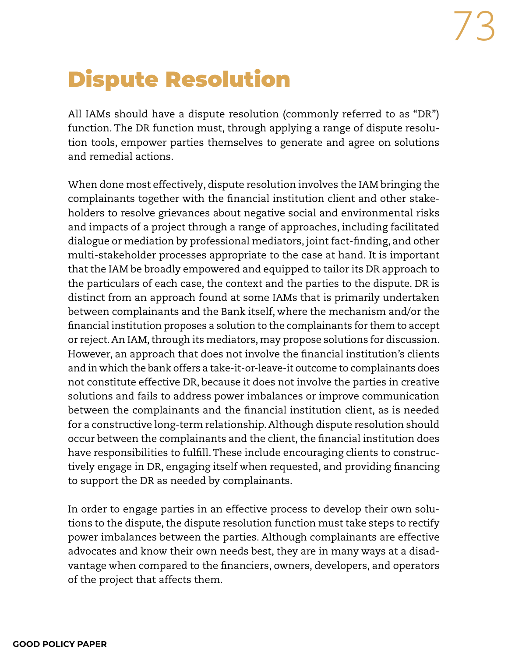## Dispute Resolution

All IAMs should have a dispute resolution (commonly referred to as "DR") function. The DR function must, through applying a range of dispute resolution tools, empower parties themselves to generate and agree on solutions and remedial actions.

When done most effectively, dispute resolution involves the IAM bringing the complainants together with the financial institution client and other stakeholders to resolve grievances about negative social and environmental risks and impacts of a project through a range of approaches, including facilitated dialogue or mediation by professional mediators, joint fact-finding, and other multi-stakeholder processes appropriate to the case at hand. It is important that the IAM be broadly empowered and equipped to tailor its DR approach to the particulars of each case, the context and the parties to the dispute. DR is distinct from an approach found at some IAMs that is primarily undertaken between complainants and the Bank itself, where the mechanism and/or the financial institution proposes a solution to the complainants for them to accept or reject. An IAM, through its mediators, may propose solutions for discussion. However, an approach that does not involve the financial institution's clients and in which the bank offers a take-it-or-leave-it outcome to complainants does not constitute effective DR, because it does not involve the parties in creative solutions and fails to address power imbalances or improve communication between the complainants and the financial institution client, as is needed for a constructive long-term relationship. Although dispute resolution should occur between the complainants and the client, the financial institution does have responsibilities to fulfill. These include encouraging clients to constructively engage in DR, engaging itself when requested, and providing financing to support the DR as needed by complainants.

In order to engage parties in an effective process to develop their own solutions to the dispute, the dispute resolution function must take steps to rectify power imbalances between the parties. Although complainants are effective advocates and know their own needs best, they are in many ways at a disadvantage when compared to the financiers, owners, developers, and operators of the project that affects them.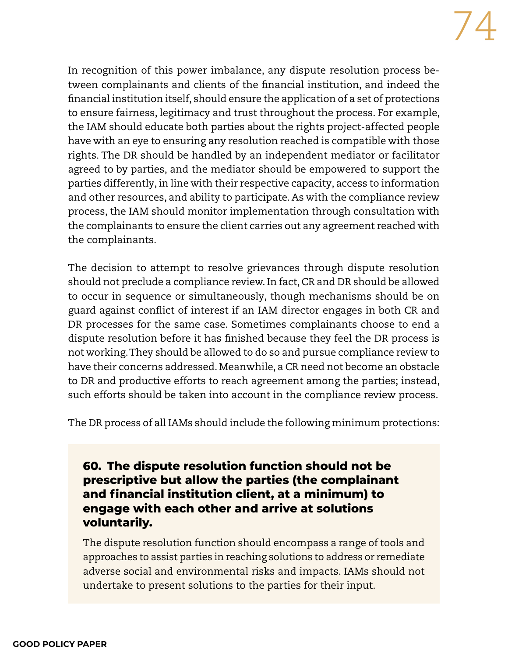In recognition of this power imbalance, any dispute resolution process between complainants and clients of the financial institution, and indeed the financial institution itself, should ensure the application of a set of protections to ensure fairness, legitimacy and trust throughout the process. For example, the IAM should educate both parties about the rights project-affected people have with an eye to ensuring any resolution reached is compatible with those rights. The DR should be handled by an independent mediator or facilitator agreed to by parties, and the mediator should be empowered to support the parties differently, in line with their respective capacity, access to information and other resources, and ability to participate. As with the compliance review process, the IAM should monitor implementation through consultation with the complainants to ensure the client carries out any agreement reached with the complainants.

The decision to attempt to resolve grievances through dispute resolution should not preclude a compliance review. In fact, CR and DR should be allowed to occur in sequence or simultaneously, though mechanisms should be on guard against conflict of interest if an IAM director engages in both CR and DR processes for the same case. Sometimes complainants choose to end a dispute resolution before it has finished because they feel the DR process is not working. They should be allowed to do so and pursue compliance review to have their concerns addressed. Meanwhile, a CR need not become an obstacle to DR and productive efforts to reach agreement among the parties; instead, such efforts should be taken into account in the compliance review process.

The DR process of all IAMs should include the following minimum protections:

**60. The dispute resolution function should not be prescriptive but allow the parties (the complainant and financial institution client, at a minimum) to engage with each other and arrive at solutions voluntarily.**

The dispute resolution function should encompass a range of tools and approaches to assist parties in reaching solutions to address or remediate adverse social and environmental risks and impacts. IAMs should not undertake to present solutions to the parties for their input.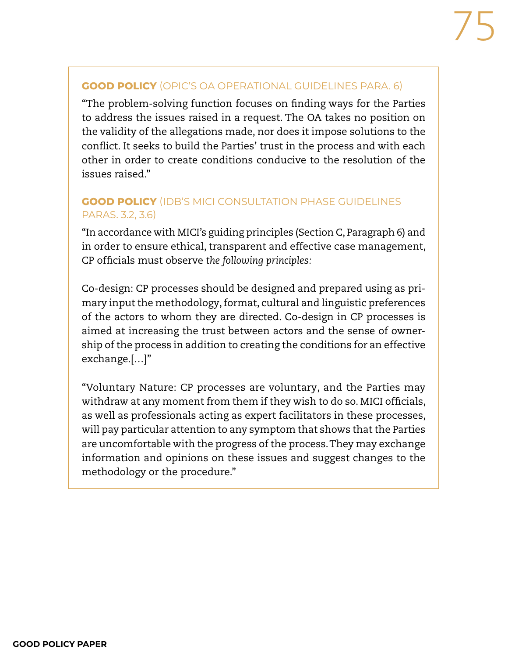#### **GOOD POLICY** (OPIC'S OA OPERATIONAL GUIDELINES PARA. 6)

"The problem-solving function focuses on finding ways for the Parties to address the issues raised in a request. The OA takes no position on the validity of the allegations made, nor does it impose solutions to the conflict. It seeks to build the Parties' trust in the process and with each other in order to create conditions conducive to the resolution of the issues raised."

### **GOOD POLICY** (IDB'S MICI CONSULTATION PHASE GUIDELINES PARAS. 3.2, 3.6)

"In accordance with MICI's guiding principles (Section C, Paragraph 6) and in order to ensure ethical, transparent and effective case management, CP officials must observe *the following principles:*

Co-design: CP processes should be designed and prepared using as primary input the methodology, format, cultural and linguistic preferences of the actors to whom they are directed. Co-design in CP processes is aimed at increasing the trust between actors and the sense of ownership of the process in addition to creating the conditions for an effective exchange.[…]"

"Voluntary Nature: CP processes are voluntary, and the Parties may withdraw at any moment from them if they wish to do so. MICI officials, as well as professionals acting as expert facilitators in these processes, will pay particular attention to any symptom that shows that the Parties are uncomfortable with the progress of the process. They may exchange information and opinions on these issues and suggest changes to the methodology or the procedure."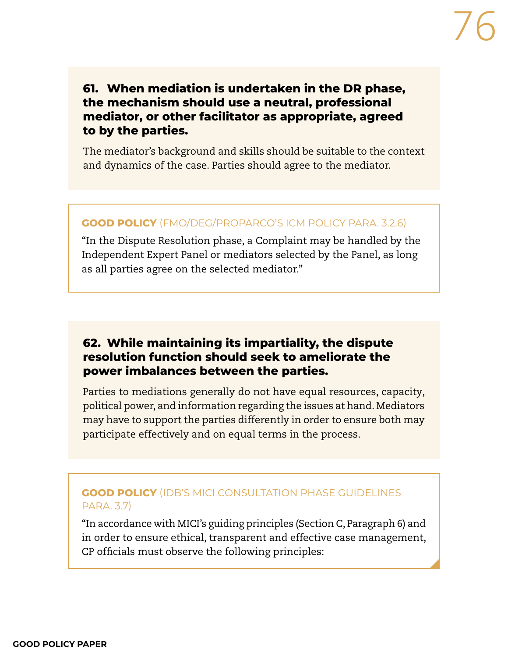## **61. When mediation is undertaken in the DR phase, the mechanism should use a neutral, professional mediator, or other facilitator as appropriate, agreed to by the parties.**

The mediator's background and skills should be suitable to the context and dynamics of the case. Parties should agree to the mediator.

#### **GOOD POLICY** (FMO/DEG/PROPARCO'S ICM POLICY PARA. 3.2.6)

"In the Dispute Resolution phase, a Complaint may be handled by the Independent Expert Panel or mediators selected by the Panel, as long as all parties agree on the selected mediator."

## **62. While maintaining its impartiality, the dispute resolution function should seek to ameliorate the power imbalances between the parties.**

Parties to mediations generally do not have equal resources, capacity, political power, and information regarding the issues at hand. Mediators may have to support the parties differently in order to ensure both may participate effectively and on equal terms in the process.

#### **GOOD POLICY** (IDB'S MICI CONSULTATION PHASE GUIDELINES PARA. 3.7)

"In accordance with MICI's guiding principles (Section C, Paragraph 6) and in order to ensure ethical, transparent and effective case management, CP officials must observe the following principles: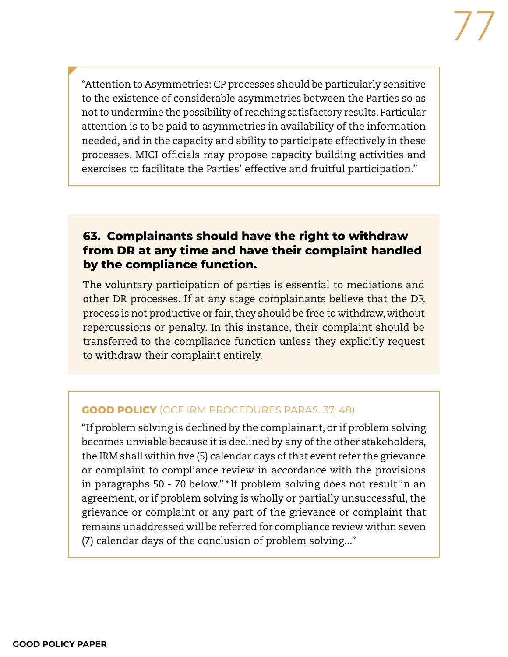"Attention to Asymmetries: CP processes should be particularly sensitive to the existence of considerable asymmetries between the Parties so as not to undermine the possibility of reaching satisfactory results. Particular attention is to be paid to asymmetries in availability of the information needed, and in the capacity and ability to participate effectively in these processes. MICI officials may propose capacity building activities and exercises to facilitate the Parties' effective and fruitful participation."

## **63. Complainants should have the right to withdraw from DR at any time and have their complaint handled by the compliance function.**

The voluntary participation of parties is essential to mediations and other DR processes. If at any stage complainants believe that the DR process is not productive or fair, they should be free to withdraw, without repercussions or penalty. In this instance, their complaint should be transferred to the compliance function unless they explicitly request to withdraw their complaint entirely.

#### **GOOD POLICY** (GCF IRM PROCEDURES PARAS. 37, 48)

"If problem solving is declined by the complainant, or if problem solving becomes unviable because it is declined by any of the other stakeholders, the IRM shall within five (5) calendar days of that event refer the grievance or complaint to compliance review in accordance with the provisions in paragraphs 50 - 70 below." "If problem solving does not result in an agreement, or if problem solving is wholly or partially unsuccessful, the grievance or complaint or any part of the grievance or complaint that remains unaddressed will be referred for compliance review within seven (7) calendar days of the conclusion of problem solving..."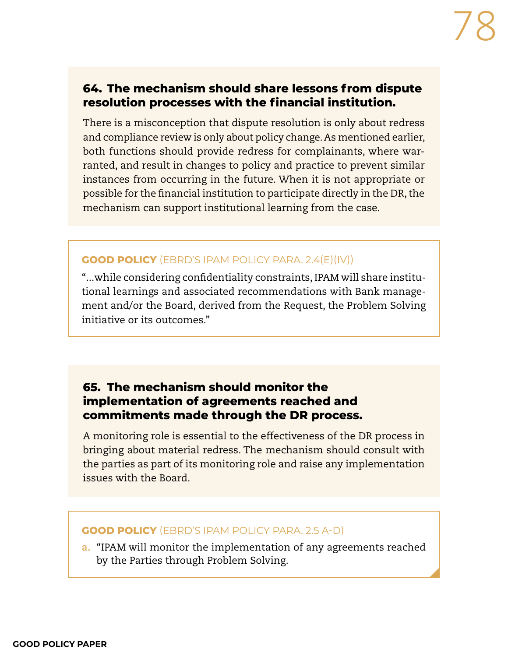### **64. The mechanism should share lessons from dispute resolution processes with the financial institution.**

There is a misconception that dispute resolution is only about redress and compliance review is only about policy change. As mentioned earlier, both functions should provide redress for complainants, where warranted, and result in changes to policy and practice to prevent similar instances from occurring in the future. When it is not appropriate or possible for the financial institution to participate directly in the DR, the mechanism can support institutional learning from the case.

#### **GOOD POLICY** (EBRD'S IPAM POLICY PARA. 2.4(E)(IV))

"...while considering confidentiality constraints, IPAM will share institutional learnings and associated recommendations with Bank management and/or the Board, derived from the Request, the Problem Solving initiative or its outcomes."

## **65. The mechanism should monitor the implementation of agreements reached and commitments made through the DR process.**

A monitoring role is essential to the effectiveness of the DR process in bringing about material redress. The mechanism should consult with the parties as part of its monitoring role and raise any implementation issues with the Board.

#### **GOOD POLICY** (EBRD'S IPAM POLICY PARA. 2.5 A-D)

**a.** "IPAM will monitor the implementation of any agreements reached by the Parties through Problem Solving.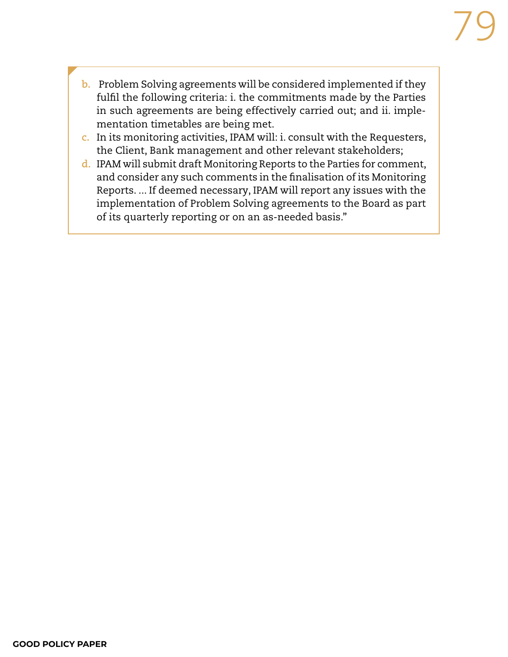- **b.** Problem Solving agreements will be considered implemented if they fulfil the following criteria: i. the commitments made by the Parties in such agreements are being effectively carried out; and ii. implementation timetables are being met.
- **c.** In its monitoring activities, IPAM will: i. consult with the Requesters, the Client, Bank management and other relevant stakeholders;
- **d.** IPAM will submit draft Monitoring Reports to the Parties for comment, and consider any such comments in the finalisation of its Monitoring Reports. ... If deemed necessary, IPAM will report any issues with the implementation of Problem Solving agreements to the Board as part of its quarterly reporting or on an as-needed basis."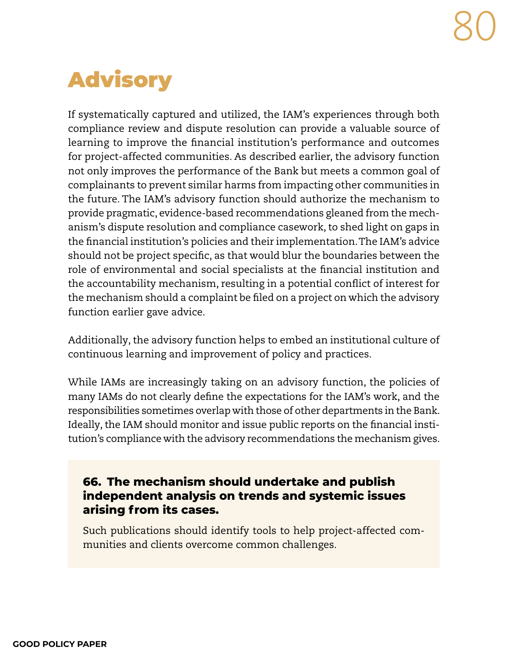## Advisory

If systematically captured and utilized, the IAM's experiences through both compliance review and dispute resolution can provide a valuable source of learning to improve the financial institution's performance and outcomes for project-affected communities. As described earlier, the advisory function not only improves the performance of the Bank but meets a common goal of complainants to prevent similar harms from impacting other communities in the future. The IAM's advisory function should authorize the mechanism to provide pragmatic, evidence-based recommendations gleaned from the mechanism's dispute resolution and compliance casework, to shed light on gaps in the financial institution's policies and their implementation. The IAM's advice should not be project specific, as that would blur the boundaries between the role of environmental and social specialists at the financial institution and the accountability mechanism, resulting in a potential conflict of interest for the mechanism should a complaint be filed on a project on which the advisory function earlier gave advice.

Additionally, the advisory function helps to embed an institutional culture of continuous learning and improvement of policy and practices.

While IAMs are increasingly taking on an advisory function, the policies of many IAMs do not clearly define the expectations for the IAM's work, and the responsibilities sometimes overlap with those of other departments in the Bank. Ideally, the IAM should monitor and issue public reports on the financial institution's compliance with the advisory recommendations the mechanism gives.

## **66. The mechanism should undertake and publish independent analysis on trends and systemic issues arising from its cases.**

Such publications should identify tools to help project-affected communities and clients overcome common challenges.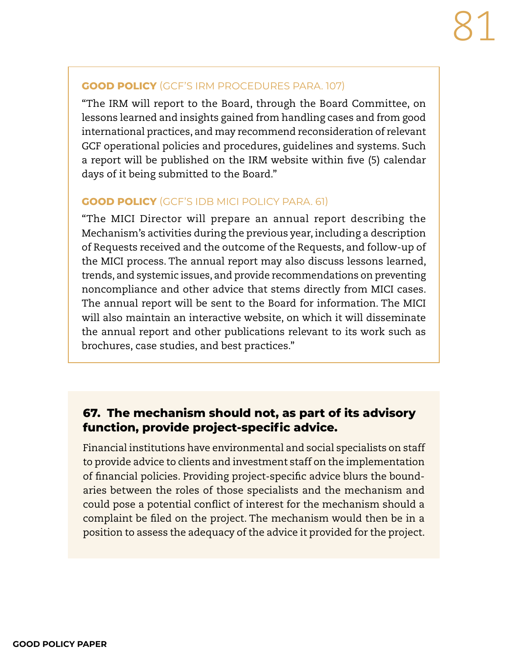#### **GOOD POLICY** (GCF'S IRM PROCEDURES PARA. 107)

"The IRM will report to the Board, through the Board Committee, on lessons learned and insights gained from handling cases and from good international practices, and may recommend reconsideration of relevant GCF operational policies and procedures, guidelines and systems. Such a report will be published on the IRM website within five (5) calendar days of it being submitted to the Board."

#### **GOOD POLICY** (GCF'S IDB MICI POLICY PARA. 61)

"The MICI Director will prepare an annual report describing the Mechanism's activities during the previous year, including a description of Requests received and the outcome of the Requests, and follow-up of the MICI process. The annual report may also discuss lessons learned, trends, and systemic issues, and provide recommendations on preventing noncompliance and other advice that stems directly from MICI cases. The annual report will be sent to the Board for information. The MICI will also maintain an interactive website, on which it will disseminate the annual report and other publications relevant to its work such as brochures, case studies, and best practices."

## **67. The mechanism should not, as part of its advisory function, provide project-specific advice.**

Financial institutions have environmental and social specialists on staff to provide advice to clients and investment staff on the implementation of financial policies. Providing project-specific advice blurs the boundaries between the roles of those specialists and the mechanism and could pose a potential conflict of interest for the mechanism should a complaint be filed on the project. The mechanism would then be in a position to assess the adequacy of the advice it provided for the project.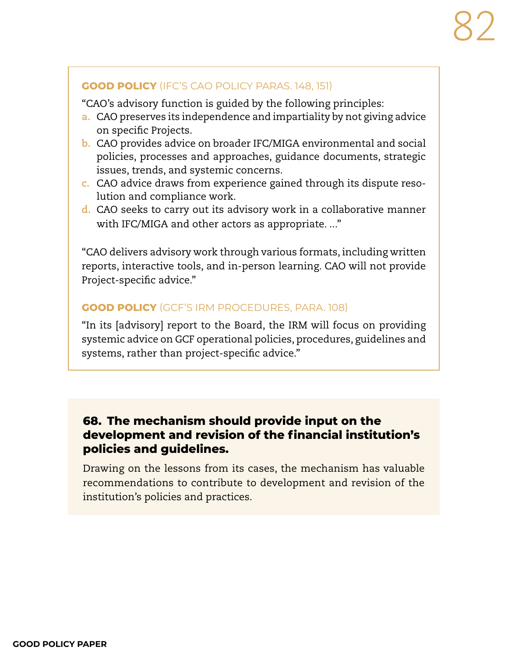#### **GOOD POLICY** (IFC'S CAO POLICY PARAS. 148, 151)

"CAO's advisory function is guided by the following principles:

- **a.** CAO preserves its independence and impartiality by not giving advice on specific Projects.
- **b.** CAO provides advice on broader IFC/MIGA environmental and social policies, processes and approaches, guidance documents, strategic issues, trends, and systemic concerns.
- **c.** CAO advice draws from experience gained through its dispute resolution and compliance work.
- **d.** CAO seeks to carry out its advisory work in a collaborative manner with IFC/MIGA and other actors as appropriate...."

"CAO delivers advisory work through various formats, including written reports, interactive tools, and in-person learning. CAO will not provide Project-specific advice."

#### **GOOD POLICY** (GCF'S IRM PROCEDURES, PARA. 108)

"In its [advisory] report to the Board, the IRM will focus on providing systemic advice on GCF operational policies, procedures, guidelines and systems, rather than project-specific advice."

## **68. The mechanism should provide input on the development and revision of the financial institution's policies and guidelines.**

Drawing on the lessons from its cases, the mechanism has valuable recommendations to contribute to development and revision of the institution's policies and practices.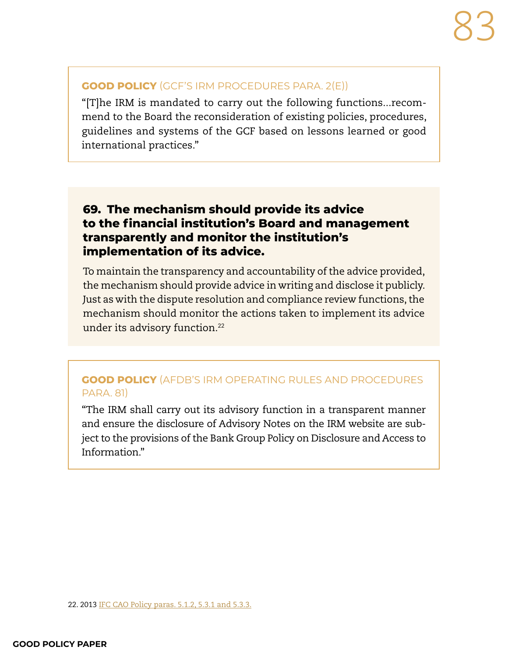#### **GOOD POLICY** (GCF'S IRM PROCEDURES PARA. 2(E))

"[T]he IRM is mandated to carry out the following functions...recommend to the Board the reconsideration of existing policies, procedures, guidelines and systems of the GCF based on lessons learned or good international practices."

## **69. The mechanism should provide its advice to the financial institution's Board and management transparently and monitor the institution's implementation of its advice.**

To maintain the transparency and accountability of the advice provided, the mechanism should provide advice in writing and disclose it publicly. Just as with the dispute resolution and compliance review functions, the mechanism should monitor the actions taken to implement its advice under its advisory function.<sup>22</sup>

#### **GOOD POLICY** (AFDB'S IRM OPERATING RULES AND PROCEDURES PARA. 81)

"The IRM shall carry out its advisory function in a transparent manner and ensure the disclosure of Advisory Notes on the IRM website are subject to the provisions of the Bank Group Policy on Disclosure and Access to Information."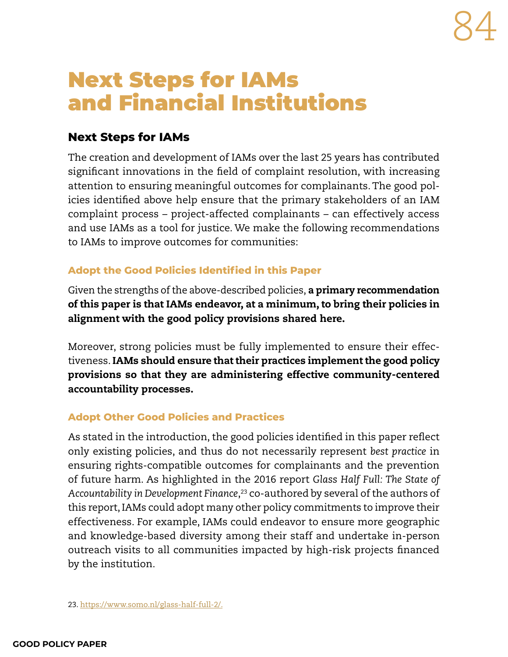## Next Steps for IAMs and Financial Institutions

## **Next Steps for IAMs**

The creation and development of IAMs over the last 25 years has contributed significant innovations in the field of complaint resolution, with increasing attention to ensuring meaningful outcomes for complainants. The good policies identified above help ensure that the primary stakeholders of an IAM complaint process – project-affected complainants – can effectively access and use IAMs as a tool for justice. We make the following recommendations to IAMs to improve outcomes for communities:

## **Adopt the Good Policies Identified in this Paper**

Given the strengths of the above-described policies, a primary recommendation of this paper is that IAMs endeavor, at a minimum, to bring their policies in alignment with the good policy provisions shared here.

Moreover, strong policies must be fully implemented to ensure their effectiveness. IAMs should ensure that their practices implement the good policy provisions so that they are administering effective community-centered accountability processes.

#### **Adopt Other Good Policies and Practices**

As stated in the introduction, the good policies identified in this paper reflect only existing policies, and thus do not necessarily represent *best practice* in ensuring rights-compatible outcomes for complainants and the prevention of future harm. As highlighted in the 2016 report *Glass Half Full: The State of Accountability in Development Finance*, 23 co-authored by several of the authors of this report, IAMs could adopt many other policy commitments to improve their effectiveness. For example, IAMs could endeavor to ensure more geographic and knowledge-based diversity among their staff and undertake in-person outreach visits to all communities impacted by high-risk projects financed by the institution.

23. https://www.somo.nl/glass-half-full-2/.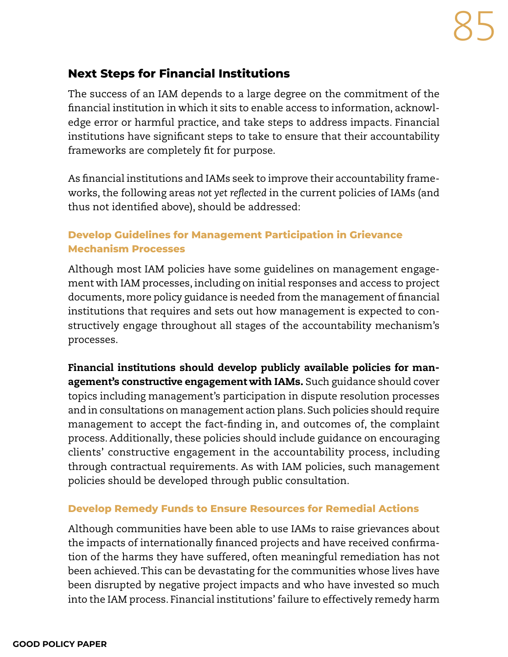## **Next Steps for Financial Institutions**

The success of an IAM depends to a large degree on the commitment of the financial institution in which it sits to enable access to information, acknowledge error or harmful practice, and take steps to address impacts. Financial institutions have significant steps to take to ensure that their accountability frameworks are completely fit for purpose.

As financial institutions and IAMs seek to improve their accountability frameworks, the following areas *not yet reflected* in the current policies of IAMs (and thus not identified above), should be addressed:

#### **Develop Guidelines for Management Participation in Grievance Mechanism Processes**

Although most IAM policies have some guidelines on management engagement with IAM processes, including on initial responses and access to project documents, more policy guidance is needed from the management of financial institutions that requires and sets out how management is expected to constructively engage throughout all stages of the accountability mechanism's processes.

Financial institutions should develop publicly available policies for management's constructive engagement with IAMs. Such guidance should cover topics including management's participation in dispute resolution processes and in consultations on management action plans. Such policies should require management to accept the fact-finding in, and outcomes of, the complaint process. Additionally, these policies should include guidance on encouraging clients' constructive engagement in the accountability process, including through contractual requirements. As with IAM policies, such management policies should be developed through public consultation.

#### **Develop Remedy Funds to Ensure Resources for Remedial Actions**

Although communities have been able to use IAMs to raise grievances about the impacts of internationally financed projects and have received confirmation of the harms they have suffered, often meaningful remediation has not been achieved. This can be devastating for the communities whose lives have been disrupted by negative project impacts and who have invested so much into the IAM process. Financial institutions' failure to effectively remedy harm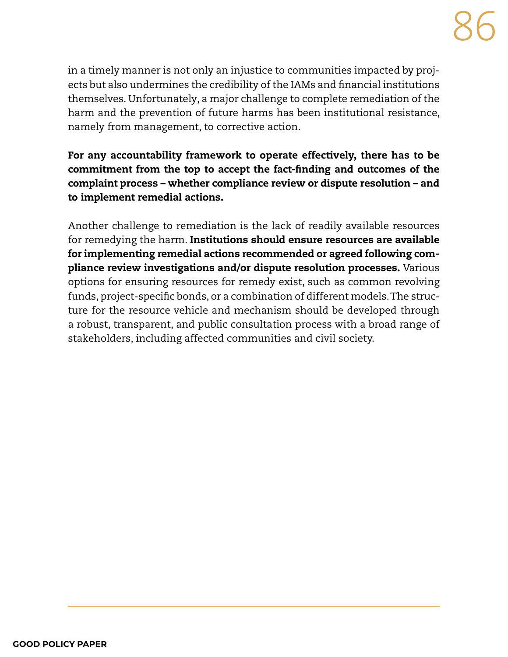in a timely manner is not only an injustice to communities impacted by projects but also undermines the credibility of the IAMs and financial institutions themselves. Unfortunately, a major challenge to complete remediation of the harm and the prevention of future harms has been institutional resistance, namely from management, to corrective action.

For any accountability framework to operate effectively, there has to be commitment from the top to accept the fact-finding and outcomes of the complaint process – whether compliance review or dispute resolution – and to implement remedial actions.

Another challenge to remediation is the lack of readily available resources for remedying the harm. Institutions should ensure resources are available for implementing remedial actions recommended or agreed following compliance review investigations and/or dispute resolution processes. Various options for ensuring resources for remedy exist, such as common revolving funds, project-specific bonds, or a combination of different models. The structure for the resource vehicle and mechanism should be developed through a robust, transparent, and public consultation process with a broad range of stakeholders, including affected communities and civil society.